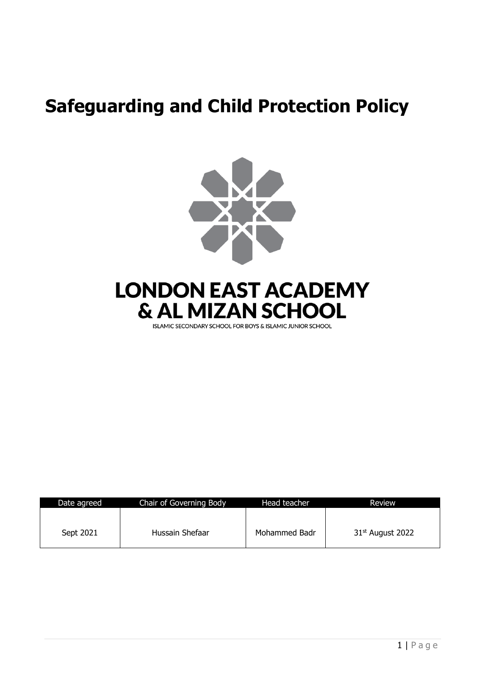# **Safeguarding and Child Protection Policy**





ISLAMIC SECONDARY SCHOOL FOR BOYS & ISLAMIC JUNIOR SCHOOL

| Date agreed | Chair of Governing Body | Head teacher  | Review             |
|-------------|-------------------------|---------------|--------------------|
| Sept 2021   | Hussain Shefaar         | Mohammed Badr | $31st$ August 2022 |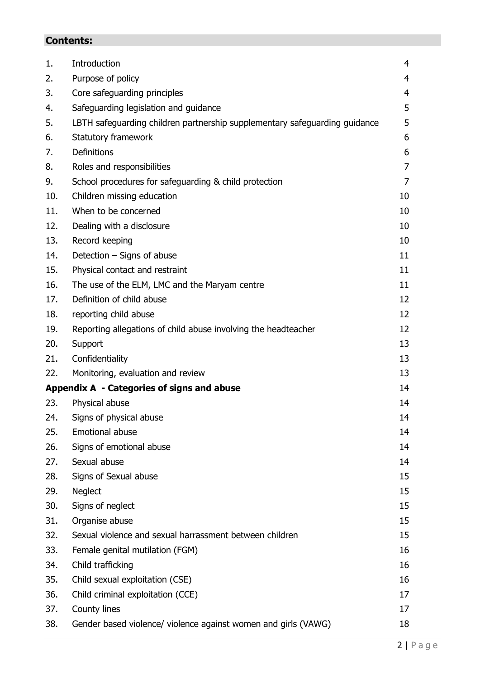## **Contents:**

| 1.  | Introduction                                                               | 4              |
|-----|----------------------------------------------------------------------------|----------------|
| 2.  | Purpose of policy                                                          | 4              |
| 3.  | Core safeguarding principles                                               | $\overline{4}$ |
| 4.  | Safeguarding legislation and guidance                                      | 5              |
| 5.  | LBTH safeguarding children partnership supplementary safeguarding guidance | 5              |
| 6.  | Statutory framework                                                        | 6              |
| 7.  | <b>Definitions</b>                                                         | 6              |
| 8.  | Roles and responsibilities                                                 | 7              |
| 9.  | School procedures for safeguarding & child protection                      | 7              |
| 10. | Children missing education                                                 | 10             |
| 11. | When to be concerned                                                       | 10             |
| 12. | Dealing with a disclosure                                                  | 10             |
| 13. | Record keeping                                                             | 10             |
| 14. | Detection - Signs of abuse                                                 | 11             |
| 15. | Physical contact and restraint                                             | 11             |
| 16. | The use of the ELM, LMC and the Maryam centre                              | 11             |
| 17. | Definition of child abuse                                                  | 12             |
| 18. | reporting child abuse                                                      | 12             |
| 19. | Reporting allegations of child abuse involving the headteacher             | 12             |
| 20. | Support                                                                    | 13             |
| 21. | Confidentiality                                                            | 13             |
| 22. | Monitoring, evaluation and review                                          | 13             |
|     | Appendix A - Categories of signs and abuse                                 | 14             |
| 23. | Physical abuse                                                             | 14             |
| 24. | Signs of physical abuse                                                    | 14             |
| 25. | <b>Emotional abuse</b>                                                     | 14             |
| 26. | Signs of emotional abuse                                                   | 14             |
| 27. | Sexual abuse                                                               | 14             |
| 28. | Signs of Sexual abuse                                                      | 15             |
| 29. | <b>Neglect</b>                                                             | 15             |
| 30. | Signs of neglect                                                           | 15             |
| 31. | Organise abuse                                                             | 15             |
| 32. | Sexual violence and sexual harrassment between children                    | 15             |
| 33. | Female genital mutilation (FGM)                                            | 16             |
| 34. | Child trafficking                                                          | 16             |
| 35. | Child sexual exploitation (CSE)                                            | 16             |
| 36. | Child criminal exploitation (CCE)                                          | 17             |
| 37. | County lines                                                               | 17             |
| 38. | Gender based violence/ violence against women and girls (VAWG)             | 18             |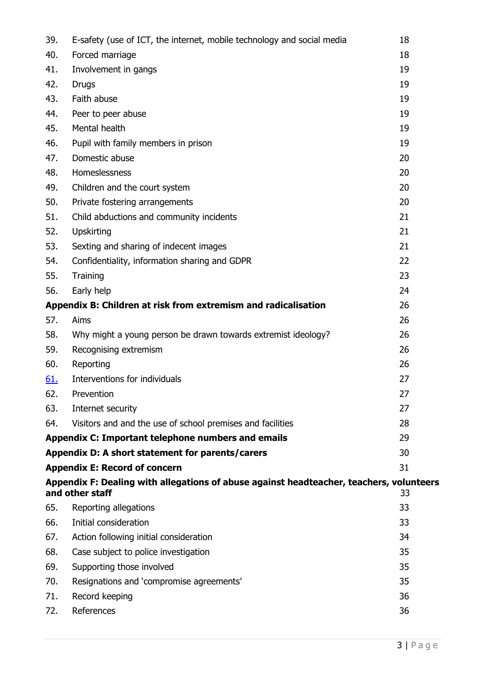| 39.        | E-safety (use of ICT, the internet, mobile technology and social media                                     | 18 |
|------------|------------------------------------------------------------------------------------------------------------|----|
| 40.        | Forced marriage                                                                                            | 18 |
| 41.        | Involvement in gangs                                                                                       | 19 |
| 42.        | <b>Drugs</b>                                                                                               | 19 |
| 43.        | Faith abuse                                                                                                | 19 |
| 44.        | Peer to peer abuse                                                                                         | 19 |
| 45.        | Mental health                                                                                              | 19 |
| 46.        | Pupil with family members in prison                                                                        | 19 |
| 47.        | Domestic abuse                                                                                             | 20 |
| 48.        | Homeslessness                                                                                              | 20 |
| 49.        | Children and the court system                                                                              | 20 |
| 50.        | Private fostering arrangements                                                                             | 20 |
| 51.        | Child abductions and community incidents                                                                   | 21 |
| 52.        | <b>Upskirting</b>                                                                                          | 21 |
| 53.        | Sexting and sharing of indecent images                                                                     | 21 |
| 54.        | Confidentiality, information sharing and GDPR                                                              | 22 |
| 55.        | Training                                                                                                   | 23 |
| 56.        | Early help                                                                                                 | 24 |
|            | Appendix B: Children at risk from extremism and radicalisation                                             | 26 |
| 57.        | Aims                                                                                                       | 26 |
| 58.        | Why might a young person be drawn towards extremist ideology?                                              | 26 |
| 59.        | Recognising extremism                                                                                      | 26 |
| 60.        | Reporting                                                                                                  | 26 |
| <u>61.</u> | Interventions for individuals                                                                              | 27 |
| 62.        | Prevention                                                                                                 | 27 |
| 63.        | Internet security                                                                                          | 27 |
| 64.        | Visitors and and the use of school premises and facilities                                                 | 28 |
|            | Appendix C: Important telephone numbers and emails                                                         | 29 |
|            | Appendix D: A short statement for parents/carers                                                           | 30 |
|            | <b>Appendix E: Record of concern</b>                                                                       | 31 |
|            | Appendix F: Dealing with allegations of abuse against headteacher, teachers, volunteers<br>and other staff | 33 |
| 65.        | Reporting allegations                                                                                      | 33 |
| 66.        | Initial consideration                                                                                      | 33 |
| 67.        | Action following initial consideration                                                                     | 34 |
| 68.        | Case subject to police investigation                                                                       | 35 |
| 69.        | Supporting those involved                                                                                  | 35 |
| 70.        | Resignations and 'compromise agreements'                                                                   | 35 |
| 71.        | Record keeping                                                                                             | 36 |
| 72.        | References                                                                                                 | 36 |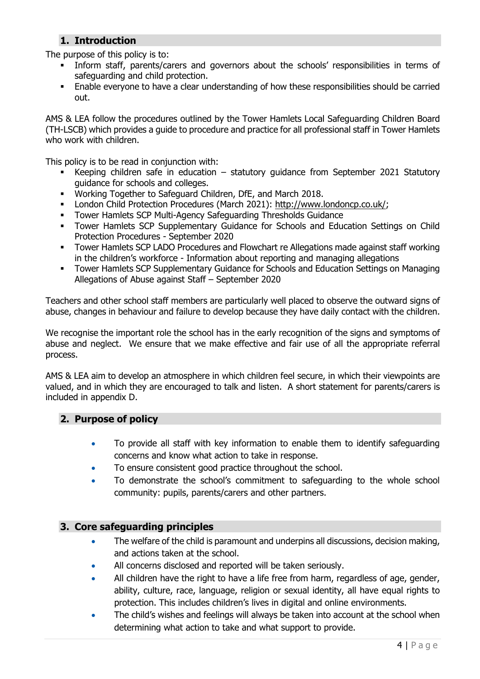## **1. Introduction**

The purpose of this policy is to:

- Inform staff, parents/carers and governors about the schools' responsibilities in terms of safeguarding and child protection.
- **Enable everyone to have a clear understanding of how these responsibilities should be carried** out.

AMS & LEA follow the procedures outlined by the Tower Hamlets Local Safeguarding Children Board (TH-LSCB) which provides a guide to procedure and practice for all professional staff in Tower Hamlets who work with children.

This policy is to be read in conjunction with:

- Keeping children safe in education statutory guidance from September 2021 Statutory guidance for schools and colleges.
- Working Together to Safeguard Children, DfE, and March 2018.
- London Child Protection Procedures (March 2021): [http://www.londoncp.co.uk/;](http://www.londoncp.co.uk/)
- Tower Hamlets SCP Multi-Agency Safeguarding Thresholds Guidance
- **Tower Hamlets SCP Supplementary Guidance for Schools and Education Settings on Child** Protection Procedures - September 2020
- Tower Hamlets SCP LADO Procedures and Flowchart re Allegations made against staff working in the children's workforce - Information about reporting and managing allegations
- **Tower Hamlets SCP Supplementary Guidance for Schools and Education Settings on Managing** Allegations of Abuse against Staff – September 2020

Teachers and other school staff members are particularly well placed to observe the outward signs of abuse, changes in behaviour and failure to develop because they have daily contact with the children.

We recognise the important role the school has in the early recognition of the signs and symptoms of abuse and neglect. We ensure that we make effective and fair use of all the appropriate referral process.

AMS & LEA aim to develop an atmosphere in which children feel secure, in which their viewpoints are valued, and in which they are encouraged to talk and listen. A short statement for parents/carers is included in appendix D.

## **2. Purpose of policy**

- To provide all staff with key information to enable them to identify safeguarding concerns and know what action to take in response.
- To ensure consistent good practice throughout the school.
- To demonstrate the school's commitment to safeguarding to the whole school community: pupils, parents/carers and other partners.

## **3. Core safeguarding principles**

- The welfare of the child is paramount and underpins all discussions, decision making, and actions taken at the school.
- All concerns disclosed and reported will be taken seriously.
- All children have the right to have a life free from harm, regardless of age, gender, ability, culture, race, language, religion or sexual identity, all have equal rights to protection. This includes children's lives in digital and online environments.
- The child's wishes and feelings will always be taken into account at the school when determining what action to take and what support to provide.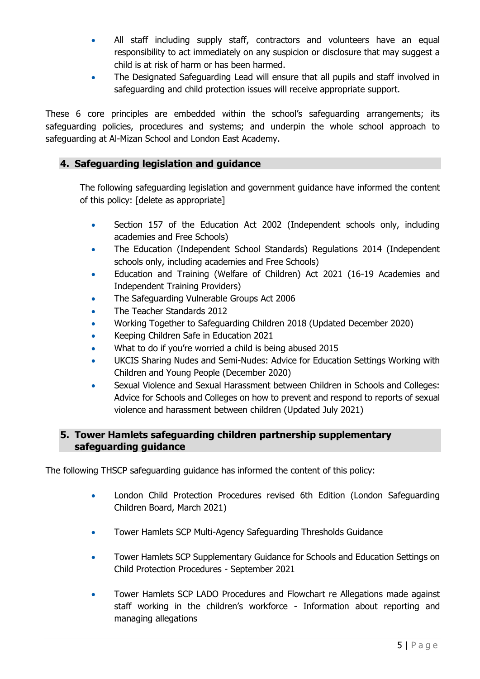- All staff including supply staff, contractors and volunteers have an equal responsibility to act immediately on any suspicion or disclosure that may suggest a child is at risk of harm or has been harmed.
- The Designated Safeguarding Lead will ensure that all pupils and staff involved in safeguarding and child protection issues will receive appropriate support.

These 6 core principles are embedded within the school's safeguarding arrangements; its safeguarding policies, procedures and systems; and underpin the whole school approach to safeguarding at Al-Mizan School and London East Academy.

## **4. Safeguarding legislation and guidance**

The following safeguarding legislation and government guidance have informed the content of this policy: [delete as appropriate]

- Section 157 of the Education Act 2002 (Independent schools only, including academies and Free Schools)
- The Education (Independent School Standards) Regulations 2014 (Independent schools only, including academies and Free Schools)
- Education and Training (Welfare of Children) Act 2021 (16-19 Academies and Independent Training Providers)
- The Safeguarding Vulnerable Groups Act 2006
- The Teacher Standards 2012
- Working Together to Safeguarding Children 2018 (Updated December 2020)
- Keeping Children Safe in Education 2021
- What to do if you're worried a child is being abused 2015
- UKCIS Sharing Nudes and Semi-Nudes: Advice for Education Settings Working with Children and Young People (December 2020)
- Sexual Violence and Sexual Harassment between Children in Schools and Colleges: Advice for Schools and Colleges on how to prevent and respond to reports of sexual violence and harassment between children (Updated July 2021)

## **5. Tower Hamlets safeguarding children partnership supplementary safeguarding guidance**

The following THSCP safeguarding guidance has informed the content of this policy:

- London Child Protection Procedures revised 6th Edition (London Safeguarding Children Board, March 2021)
- Tower Hamlets SCP Multi-Agency Safeguarding Thresholds Guidance
- Tower Hamlets SCP Supplementary Guidance for Schools and Education Settings on Child Protection Procedures - September 2021
- Tower Hamlets SCP LADO Procedures and Flowchart re Allegations made against staff working in the children's workforce - Information about reporting and managing allegations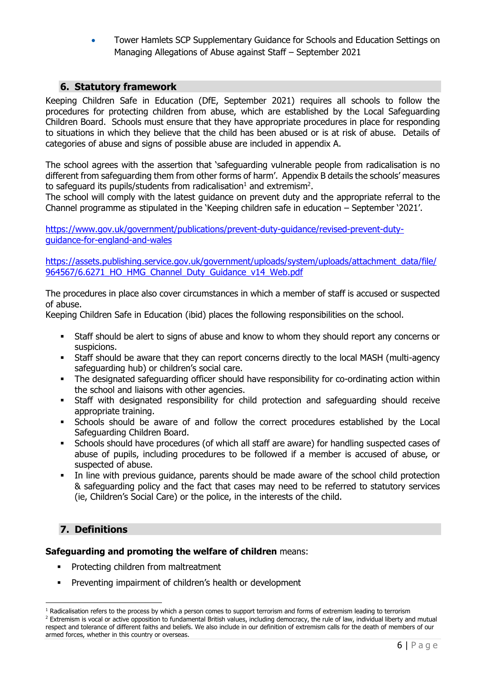• Tower Hamlets SCP Supplementary Guidance for Schools and Education Settings on Managing Allegations of Abuse against Staff – September 2021

## **6. Statutory framework**

Keeping Children Safe in Education (DfE, September 2021) requires all schools to follow the procedures for protecting children from abuse, which are established by the Local Safeguarding Children Board. Schools must ensure that they have appropriate procedures in place for responding to situations in which they believe that the child has been abused or is at risk of abuse. Details of categories of abuse and signs of possible abuse are included in appendix A.

The school agrees with the assertion that 'safeguarding vulnerable people from radicalisation is no different from safeguarding them from other forms of harm'. Appendix B details the schools' measures to safeguard its pupils/students from radicalisation<sup>1</sup> and extremism<sup>2</sup>.

The school will comply with the latest guidance on prevent duty and the appropriate referral to the Channel programme as stipulated in the 'Keeping children safe in education – September '2021'.

[https://www.gov.uk/government/publications/prevent-duty-guidance/revised-prevent-duty](https://www.gov.uk/government/publications/prevent-duty-guidance/revised-prevent-duty-guidance-for-england-and-wales)[guidance-for-england-and-wales](https://www.gov.uk/government/publications/prevent-duty-guidance/revised-prevent-duty-guidance-for-england-and-wales)

[https://assets.publishing.service.gov.uk/government/uploads/system/uploads/attachment\\_data/file/](https://assets.publishing.service.gov.uk/government/uploads/system/uploads/attachment_data/file/964567/6.6271_HO_HMG_Channel_Duty_Guidance_v14_Web.pdf) [964567/6.6271\\_HO\\_HMG\\_Channel\\_Duty\\_Guidance\\_v14\\_Web.pdf](https://assets.publishing.service.gov.uk/government/uploads/system/uploads/attachment_data/file/964567/6.6271_HO_HMG_Channel_Duty_Guidance_v14_Web.pdf)

The procedures in place also cover circumstances in which a member of staff is accused or suspected of abuse.

Keeping Children Safe in Education (ibid) places the following responsibilities on the school.

- Staff should be alert to signs of abuse and know to whom they should report any concerns or suspicions.
- Staff should be aware that they can report concerns directly to the local MASH (multi-agency safeguarding hub) or children's social care.
- The designated safeguarding officer should have responsibility for co-ordinating action within the school and liaisons with other agencies.
- Staff with designated responsibility for child protection and safeguarding should receive appropriate training.
- Schools should be aware of and follow the correct procedures established by the Local Safeguarding Children Board.
- Schools should have procedures (of which all staff are aware) for handling suspected cases of abuse of pupils, including procedures to be followed if a member is accused of abuse, or suspected of abuse.
- In line with previous guidance, parents should be made aware of the school child protection & safeguarding policy and the fact that cases may need to be referred to statutory services (ie, Children's Social Care) or the police, in the interests of the child.

## **7. Definitions**

#### **Safeguarding and promoting the welfare of children** means:

- **•** Protecting children from maltreatment
- Preventing impairment of children's health or development

 $1$  Radicalisation refers to the process by which a person comes to support terrorism and forms of extremism leading to terrorism <sup>2</sup> Extremism is vocal or active opposition to fundamental British values, including democracy, the rule of law, individual liberty and mutual respect and tolerance of different faiths and beliefs. We also include in our definition of extremism calls for the death of members of our armed forces, whether in this country or overseas.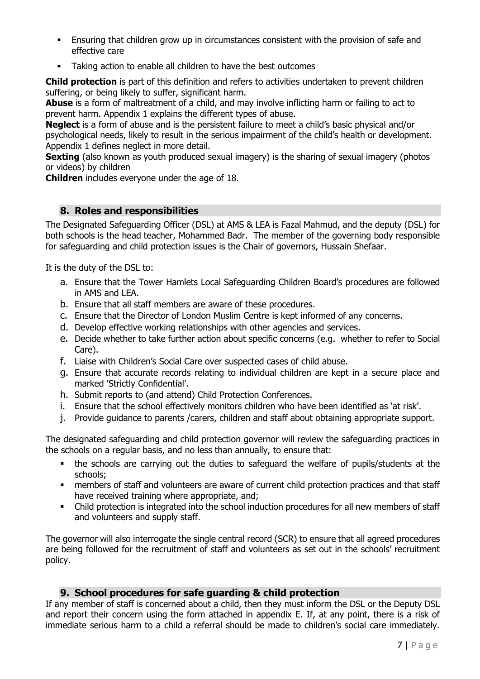- **Ensuring that children grow up in circumstances consistent with the provision of safe and** effective care
- Taking action to enable all children to have the best outcomes

**Child protection** is part of this definition and refers to activities undertaken to prevent children suffering, or being likely to suffer, significant harm.

**Abuse** is a form of maltreatment of a child, and may involve inflicting harm or failing to act to prevent harm. Appendix 1 explains the different types of abuse.

**Neglect** is a form of abuse and is the persistent failure to meet a child's basic physical and/or psychological needs, likely to result in the serious impairment of the child's health or development. Appendix 1 defines neglect in more detail.

**Sexting** (also known as youth produced sexual imagery) is the sharing of sexual imagery (photos or videos) by children

**Children** includes everyone under the age of 18.

## **8. Roles and responsibilities**

The Designated Safeguarding Officer (DSL) at AMS & LEA is Fazal Mahmud, and the deputy (DSL) for both schools is the head teacher, Mohammed Badr. The member of the governing body responsible for safeguarding and child protection issues is the Chair of governors, Hussain Shefaar.

It is the duty of the DSL to:

- a. Ensure that the Tower Hamlets Local Safeguarding Children Board's procedures are followed in AMS and LEA.
- b. Ensure that all staff members are aware of these procedures.
- c. Ensure that the Director of London Muslim Centre is kept informed of any concerns.
- d. Develop effective working relationships with other agencies and services.
- e. Decide whether to take further action about specific concerns (e.g. whether to refer to Social Care).
- f. Liaise with Children's Social Care over suspected cases of child abuse.
- g. Ensure that accurate records relating to individual children are kept in a secure place and marked 'Strictly Confidential'.
- h. Submit reports to (and attend) Child Protection Conferences.
- i. Ensure that the school effectively monitors children who have been identified as 'at risk'.
- j. Provide guidance to parents /carers, children and staff about obtaining appropriate support.

The designated safeguarding and child protection governor will review the safeguarding practices in the schools on a regular basis, and no less than annually, to ensure that:

- the schools are carrying out the duties to safeguard the welfare of pupils/students at the schools;
- **•** members of staff and volunteers are aware of current child protection practices and that staff have received training where appropriate, and;
- Child protection is integrated into the school induction procedures for all new members of staff and volunteers and supply staff.

The governor will also interrogate the single central record (SCR) to ensure that all agreed procedures are being followed for the recruitment of staff and volunteers as set out in the schools' recruitment policy.

## **9. School procedures for safe guarding & child protection**

If any member of staff is concerned about a child, then they must inform the DSL or the Deputy DSL and report their concern using the form attached in appendix E. If, at any point, there is a risk of immediate serious harm to a child a referral should be made to children's social care immediately.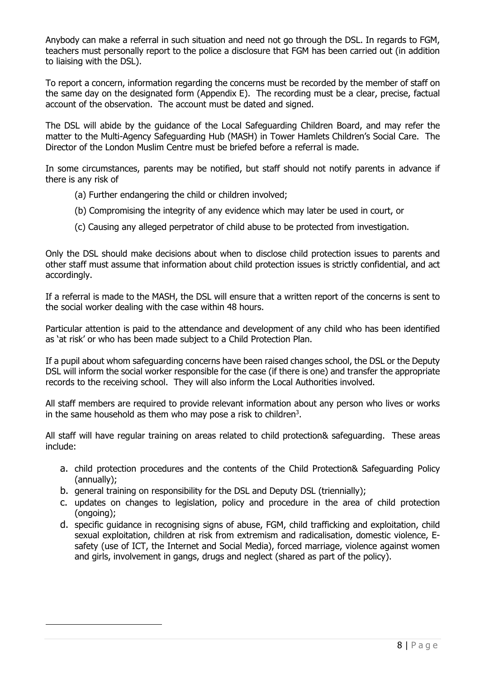Anybody can make a referral in such situation and need not go through the DSL. In regards to FGM, teachers must personally report to the police a disclosure that FGM has been carried out (in addition to liaising with the DSL).

To report a concern, information regarding the concerns must be recorded by the member of staff on the same day on the designated form (Appendix E). The recording must be a clear, precise, factual account of the observation. The account must be dated and signed.

The DSL will abide by the guidance of the Local Safeguarding Children Board, and may refer the matter to the Multi-Agency Safeguarding Hub (MASH) in Tower Hamlets Children's Social Care. The Director of the London Muslim Centre must be briefed before a referral is made.

In some circumstances, parents may be notified, but staff should not notify parents in advance if there is any risk of

- (a) Further endangering the child or children involved;
- (b) Compromising the integrity of any evidence which may later be used in court, or
- (c) Causing any alleged perpetrator of child abuse to be protected from investigation.

Only the DSL should make decisions about when to disclose child protection issues to parents and other staff must assume that information about child protection issues is strictly confidential, and act accordingly.

If a referral is made to the MASH, the DSL will ensure that a written report of the concerns is sent to the social worker dealing with the case within 48 hours.

Particular attention is paid to the attendance and development of any child who has been identified as 'at risk' or who has been made subject to a Child Protection Plan.

If a pupil about whom safeguarding concerns have been raised changes school, the DSL or the Deputy DSL will inform the social worker responsible for the case (if there is one) and transfer the appropriate records to the receiving school. They will also inform the Local Authorities involved.

All staff members are required to provide relevant information about any person who lives or works in the same household as them who may pose a risk to children<sup>3</sup>.

All staff will have regular training on areas related to child protection& safeguarding. These areas include:

- a. child protection procedures and the contents of the Child Protection& Safeguarding Policy (annually);
- b. general training on responsibility for the DSL and Deputy DSL (triennially);
- c. updates on changes to legislation, policy and procedure in the area of child protection (ongoing);
- d. specific guidance in recognising signs of abuse, FGM, child trafficking and exploitation, child sexual exploitation, children at risk from extremism and radicalisation, domestic violence, Esafety (use of ICT, the Internet and Social Media), forced marriage, violence against women and girls, involvement in gangs, drugs and neglect (shared as part of the policy).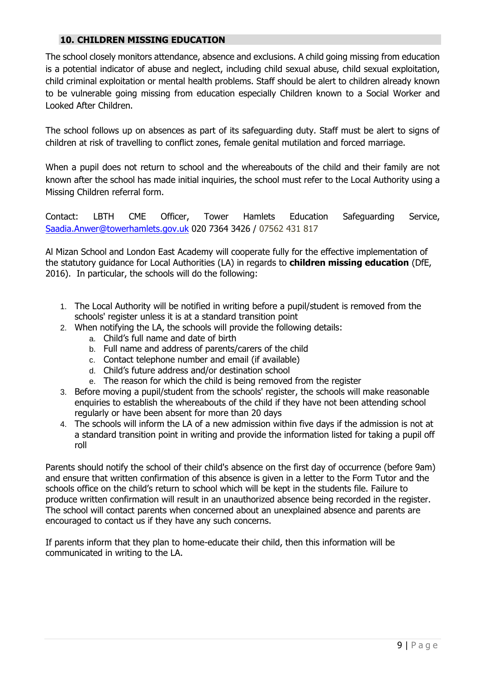## **10. CHILDREN MISSING EDUCATION**

The school closely monitors attendance, absence and exclusions. A child going missing from education is a potential indicator of abuse and neglect, including child sexual abuse, child sexual exploitation, child criminal exploitation or mental health problems. Staff should be alert to children already known to be vulnerable going missing from education especially Children known to a Social Worker and Looked After Children.

The school follows up on absences as part of its safeguarding duty. Staff must be alert to signs of children at risk of travelling to conflict zones, female genital mutilation and forced marriage.

When a pupil does not return to school and the whereabouts of the child and their family are not known after the school has made initial inquiries, the school must refer to the Local Authority using a Missing Children referral form.

Contact: LBTH CME Officer, Tower Hamlets Education Safeguarding Service, [Saadia.Anwer@towerhamlets.gov.uk](mailto:Saadia.Anwer@towerhamlets.gov.uk) 020 7364 3426 / 07562 431 817

Al Mizan School and London East Academy will cooperate fully for the effective implementation of the statutory guidance for Local Authorities (LA) in regards to **children missing education** (DfE, 2016). In particular, the schools will do the following:

- 1. The Local Authority will be notified in writing before a pupil/student is removed from the schools' register unless it is at a standard transition point
- 2. When notifying the LA, the schools will provide the following details:
	- a. Child's full name and date of birth
	- b. Full name and address of parents/carers of the child
	- c. Contact telephone number and email (if available)
	- d. Child's future address and/or destination school
	- e. The reason for which the child is being removed from the register
- 3. Before moving a pupil/student from the schools' register, the schools will make reasonable enquiries to establish the whereabouts of the child if they have not been attending school regularly or have been absent for more than 20 days
- 4. The schools will inform the LA of a new admission within five days if the admission is not at a standard transition point in writing and provide the information listed for taking a pupil off roll

Parents should notify the school of their child's absence on the first day of occurrence (before 9am) and ensure that written confirmation of this absence is given in a letter to the Form Tutor and the schools office on the child's return to school which will be kept in the students file. Failure to produce written confirmation will result in an unauthorized absence being recorded in the register. The school will contact parents when concerned about an unexplained absence and parents are encouraged to contact us if they have any such concerns.

If parents inform that they plan to home-educate their child, then this information will be communicated in writing to the LA.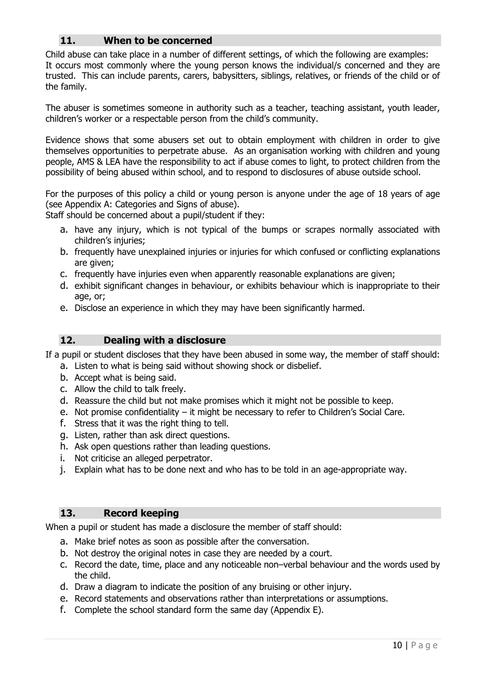## **11. When to be concerned**

Child abuse can take place in a number of different settings, of which the following are examples: It occurs most commonly where the young person knows the individual/s concerned and they are trusted. This can include parents, carers, babysitters, siblings, relatives, or friends of the child or of the family.

The abuser is sometimes someone in authority such as a teacher, teaching assistant, youth leader, children's worker or a respectable person from the child's community.

Evidence shows that some abusers set out to obtain employment with children in order to give themselves opportunities to perpetrate abuse. As an organisation working with children and young people, AMS & LEA have the responsibility to act if abuse comes to light, to protect children from the possibility of being abused within school, and to respond to disclosures of abuse outside school.

For the purposes of this policy a child or young person is anyone under the age of 18 years of age (see Appendix A: Categories and Signs of abuse).

Staff should be concerned about a pupil/student if they:

- a. have any injury, which is not typical of the bumps or scrapes normally associated with children's injuries;
- b. frequently have unexplained injuries or injuries for which confused or conflicting explanations are given;
- c. frequently have injuries even when apparently reasonable explanations are given;
- d. exhibit significant changes in behaviour, or exhibits behaviour which is inappropriate to their age, or;
- e. Disclose an experience in which they may have been significantly harmed.

## **12. Dealing with a disclosure**

If a pupil or student discloses that they have been abused in some way, the member of staff should:

- a. Listen to what is being said without showing shock or disbelief.
- b. Accept what is being said.
- c. Allow the child to talk freely.
- d. Reassure the child but not make promises which it might not be possible to keep.
- e. Not promise confidentiality it might be necessary to refer to Children's Social Care.
- f. Stress that it was the right thing to tell.
- g. Listen, rather than ask direct questions.
- h. Ask open questions rather than leading questions.
- i. Not criticise an alleged perpetrator.
- j. Explain what has to be done next and who has to be told in an age-appropriate way.

#### **13. Record keeping**

When a pupil or student has made a disclosure the member of staff should:

- a. Make brief notes as soon as possible after the conversation.
- b. Not destroy the original notes in case they are needed by a court.
- c. Record the date, time, place and any noticeable non–verbal behaviour and the words used by the child.
- d. Draw a diagram to indicate the position of any bruising or other injury.
- e. Record statements and observations rather than interpretations or assumptions.
- f. Complete the school standard form the same day (Appendix E).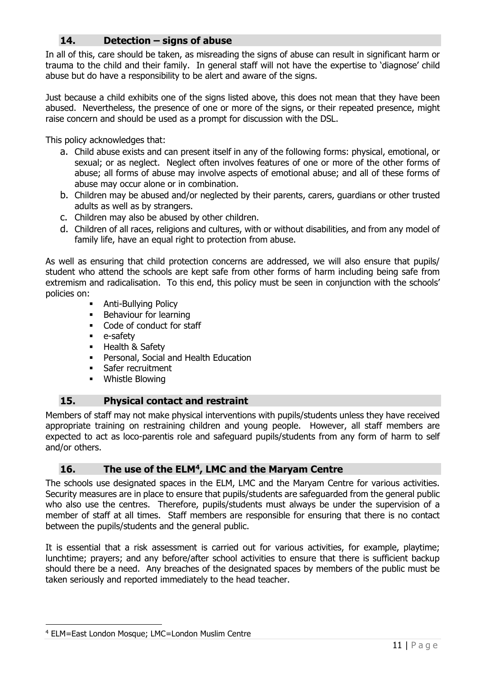## **14. Detection – signs of abuse**

In all of this, care should be taken, as misreading the signs of abuse can result in significant harm or trauma to the child and their family. In general staff will not have the expertise to 'diagnose' child abuse but do have a responsibility to be alert and aware of the signs.

Just because a child exhibits one of the signs listed above, this does not mean that they have been abused. Nevertheless, the presence of one or more of the signs, or their repeated presence, might raise concern and should be used as a prompt for discussion with the DSL.

This policy acknowledges that:

- a. Child abuse exists and can present itself in any of the following forms: physical, emotional, or sexual; or as neglect. Neglect often involves features of one or more of the other forms of abuse; all forms of abuse may involve aspects of emotional abuse; and all of these forms of abuse may occur alone or in combination.
- b. Children may be abused and/or neglected by their parents, carers, guardians or other trusted adults as well as by strangers.
- c. Children may also be abused by other children.
- d. Children of all races, religions and cultures, with or without disabilities, and from any model of family life, have an equal right to protection from abuse.

As well as ensuring that child protection concerns are addressed, we will also ensure that pupils/ student who attend the schools are kept safe from other forms of harm including being safe from extremism and radicalisation. To this end, this policy must be seen in conjunction with the schools' policies on:

- **Anti-Bullying Policy**
- Behaviour for learning
- Code of conduct for staff
- e-safety
- Health & Safety
- Personal, Social and Health Education
- **•** Safer recruitment
- Whistle Blowing

## **15. Physical contact and restraint**

Members of staff may not make physical interventions with pupils/students unless they have received appropriate training on restraining children and young people. However, all staff members are expected to act as loco-parentis role and safeguard pupils/students from any form of harm to self and/or others.

## **16. The use of the ELM<sup>4</sup> , LMC and the Maryam Centre**

The schools use designated spaces in the ELM, LMC and the Maryam Centre for various activities. Security measures are in place to ensure that pupils/students are safeguarded from the general public who also use the centres. Therefore, pupils/students must always be under the supervision of a member of staff at all times. Staff members are responsible for ensuring that there is no contact between the pupils/students and the general public.

It is essential that a risk assessment is carried out for various activities, for example, playtime; lunchtime; prayers; and any before/after school activities to ensure that there is sufficient backup should there be a need. Any breaches of the designated spaces by members of the public must be taken seriously and reported immediately to the head teacher.

<sup>4</sup> ELM=East London Mosque; LMC=London Muslim Centre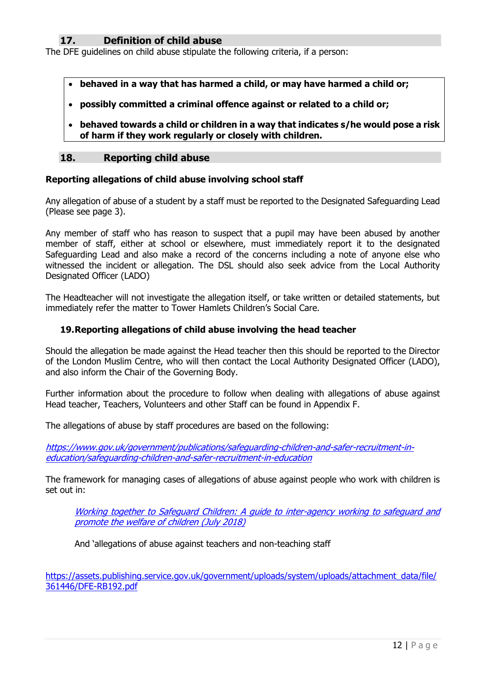## **17. Definition of child abuse**

The DFE guidelines on child abuse stipulate the following criteria, if a person:

- **behaved in a way that has harmed a child, or may have harmed a child or;**
- **possibly committed a criminal offence against or related to a child or;**
- **behaved towards a child or children in a way that indicates s/he would pose a risk of harm if they work regularly or closely with children.**

#### **18. Reporting child abuse**

#### **Reporting allegations of child abuse involving school staff**

Any allegation of abuse of a student by a staff must be reported to the Designated Safeguarding Lead (Please see page 3).

Any member of staff who has reason to suspect that a pupil may have been abused by another member of staff, either at school or elsewhere, must immediately report it to the designated Safeguarding Lead and also make a record of the concerns including a note of anyone else who witnessed the incident or allegation. The DSL should also seek advice from the Local Authority Designated Officer (LADO)

The Headteacher will not investigate the allegation itself, or take written or detailed statements, but immediately refer the matter to Tower Hamlets Children's Social Care.

#### **19.Reporting allegations of child abuse involving the head teacher**

Should the allegation be made against the Head teacher then this should be reported to the Director of the London Muslim Centre, who will then contact the Local Authority Designated Officer (LADO), and also inform the Chair of the Governing Body.

Further information about the procedure to follow when dealing with allegations of abuse against Head teacher, Teachers, Volunteers and other Staff can be found in Appendix F.

The allegations of abuse by staff procedures are based on the following:

[https://www.gov.uk/government/publications/safeguarding-children-and-safer-recruitment-in](https://www.gov.uk/government/publications/safeguarding-children-and-safer-recruitment-in-education/safeguarding-children-and-safer-recruitment-in-education)[education/safeguarding-children-and-safer-recruitment-in-education](https://www.gov.uk/government/publications/safeguarding-children-and-safer-recruitment-in-education/safeguarding-children-and-safer-recruitment-in-education)

The framework for managing cases of allegations of abuse against people who work with children is set out in:

[Working together to Safeguard Children: A guide to inter-agency working to safeguard and](https://assets.publishing.service.gov.uk/government/uploads/system/uploads/attachment_data/file/779401/Working_Together_to_Safeguard-Children.pdf)  [promote the welfare of children \(July 2018\)](https://assets.publishing.service.gov.uk/government/uploads/system/uploads/attachment_data/file/779401/Working_Together_to_Safeguard-Children.pdf) 

And 'allegations of abuse against teachers and non-teaching staff

[https://assets.publishing.service.gov.uk/government/uploads/system/uploads/attachment\\_data/file/](https://assets.publishing.service.gov.uk/government/uploads/system/uploads/attachment_data/file/361446/DFE-RB192.pdf) [361446/DFE-RB192.pdf](https://assets.publishing.service.gov.uk/government/uploads/system/uploads/attachment_data/file/361446/DFE-RB192.pdf)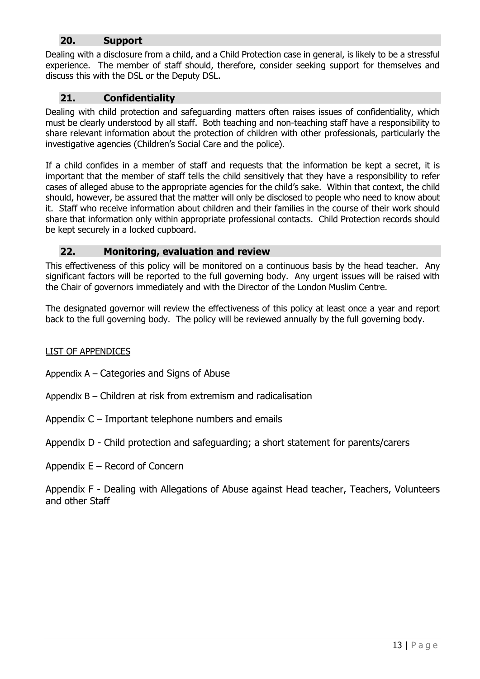## **20. Support**

Dealing with a disclosure from a child, and a Child Protection case in general, is likely to be a stressful experience. The member of staff should, therefore, consider seeking support for themselves and discuss this with the DSL or the Deputy DSL.

## **21. Confidentiality**

Dealing with child protection and safeguarding matters often raises issues of confidentiality, which must be clearly understood by all staff. Both teaching and non-teaching staff have a responsibility to share relevant information about the protection of children with other professionals, particularly the investigative agencies (Children's Social Care and the police).

If a child confides in a member of staff and requests that the information be kept a secret, it is important that the member of staff tells the child sensitively that they have a responsibility to refer cases of alleged abuse to the appropriate agencies for the child's sake. Within that context, the child should, however, be assured that the matter will only be disclosed to people who need to know about it. Staff who receive information about children and their families in the course of their work should share that information only within appropriate professional contacts. Child Protection records should be kept securely in a locked cupboard.

## **22. Monitoring, evaluation and review**

This effectiveness of this policy will be monitored on a continuous basis by the head teacher. Any significant factors will be reported to the full governing body. Any urgent issues will be raised with the Chair of governors immediately and with the Director of the London Muslim Centre.

The designated governor will review the effectiveness of this policy at least once a year and report back to the full governing body. The policy will be reviewed annually by the full governing body.

## LIST OF APPENDICES

Appendix A – Categories and Signs of Abuse

- Appendix B Children at risk from extremism and radicalisation
- Appendix C Important telephone numbers and emails

## Appendix D - Child protection and safeguarding; a short statement for parents/carers

Appendix E – Record of Concern

Appendix F - Dealing with Allegations of Abuse against Head teacher, Teachers, Volunteers and other Staff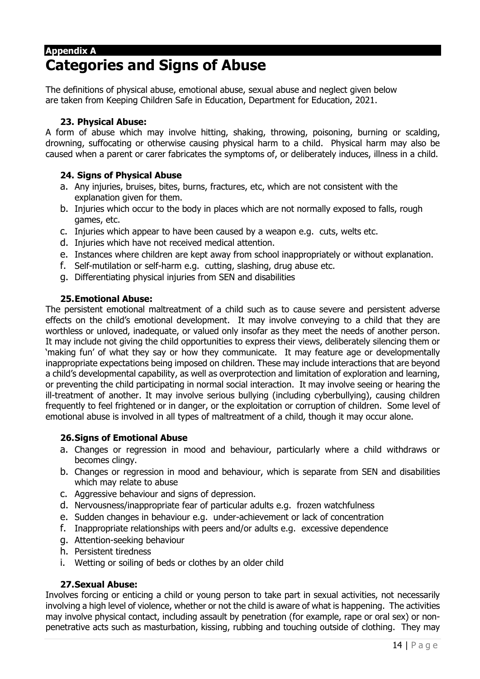## **Appendix A Categories and Signs of Abuse**

The definitions of physical abuse, emotional abuse, sexual abuse and neglect given below are taken from Keeping Children Safe in Education, Department for Education, 2021.

## **23. Physical Abuse:**

A form of abuse which may involve hitting, shaking, throwing, poisoning, burning or scalding, drowning, suffocating or otherwise causing physical harm to a child. Physical harm may also be caused when a parent or carer fabricates the symptoms of, or deliberately induces, illness in a child.

## **24. Signs of Physical Abuse**

- a. Any injuries, bruises, bites, burns, fractures, etc, which are not consistent with the explanation given for them.
- b. Injuries which occur to the body in places which are not normally exposed to falls, rough games, etc.
- c. Injuries which appear to have been caused by a weapon e.g. cuts, welts etc.
- d. Injuries which have not received medical attention.
- e. Instances where children are kept away from school inappropriately or without explanation.
- f. Self-mutilation or self-harm e.g. cutting, slashing, drug abuse etc.
- g. Differentiating physical injuries from SEN and disabilities

#### **25.Emotional Abuse:**

The persistent emotional maltreatment of a child such as to cause severe and persistent adverse effects on the child's emotional development. It may involve conveying to a child that they are worthless or unloved, inadequate, or valued only insofar as they meet the needs of another person. It may include not giving the child opportunities to express their views, deliberately silencing them or 'making fun' of what they say or how they communicate. It may feature age or developmentally inappropriate expectations being imposed on children. These may include interactions that are beyond a child's developmental capability, as well as overprotection and limitation of exploration and learning, or preventing the child participating in normal social interaction. It may involve seeing or hearing the ill-treatment of another. It may involve serious bullying (including cyberbullying), causing children frequently to feel frightened or in danger, or the exploitation or corruption of children. Some level of emotional abuse is involved in all types of maltreatment of a child, though it may occur alone.

#### **26.Signs of Emotional Abuse**

- a. Changes or regression in mood and behaviour, particularly where a child withdraws or becomes clingy.
- b. Changes or regression in mood and behaviour, which is separate from SEN and disabilities which may relate to abuse
- c. Aggressive behaviour and signs of depression.
- d. Nervousness/inappropriate fear of particular adults e.g. frozen watchfulness
- e. Sudden changes in behaviour e.g. under-achievement or lack of concentration
- f. Inappropriate relationships with peers and/or adults e.g. excessive dependence
- g. Attention-seeking behaviour
- h. Persistent tiredness
- i. Wetting or soiling of beds or clothes by an older child

## **27.Sexual Abuse:**

Involves forcing or enticing a child or young person to take part in sexual activities, not necessarily involving a high level of violence, whether or not the child is aware of what is happening. The activities may involve physical contact, including assault by penetration (for example, rape or oral sex) or nonpenetrative acts such as masturbation, kissing, rubbing and touching outside of clothing. They may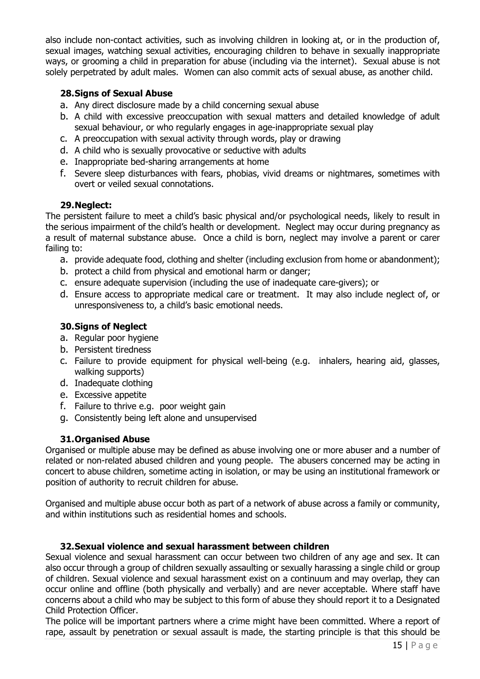also include non-contact activities, such as involving children in looking at, or in the production of, sexual images, watching sexual activities, encouraging children to behave in sexually inappropriate ways, or grooming a child in preparation for abuse (including via the internet). Sexual abuse is not solely perpetrated by adult males. Women can also commit acts of sexual abuse, as another child.

## **28.Signs of Sexual Abuse**

- a. Any direct disclosure made by a child concerning sexual abuse
- b. A child with excessive preoccupation with sexual matters and detailed knowledge of adult sexual behaviour, or who regularly engages in age-inappropriate sexual play
- c. A preoccupation with sexual activity through words, play or drawing
- d. A child who is sexually provocative or seductive with adults
- e. Inappropriate bed-sharing arrangements at home
- f. Severe sleep disturbances with fears, phobias, vivid dreams or nightmares, sometimes with overt or veiled sexual connotations.

## **29.Neglect:**

The persistent failure to meet a child's basic physical and/or psychological needs, likely to result in the serious impairment of the child's health or development. Neglect may occur during pregnancy as a result of maternal substance abuse. Once a child is born, neglect may involve a parent or carer failing to:

- a. provide adequate food, clothing and shelter (including exclusion from home or abandonment);
- b. protect a child from physical and emotional harm or danger;
- c. ensure adequate supervision (including the use of inadequate care-givers); or
- d. Ensure access to appropriate medical care or treatment. It may also include neglect of, or unresponsiveness to, a child's basic emotional needs.

## **30.Signs of Neglect**

- a. Regular poor hygiene
- b. Persistent tiredness
- c. Failure to provide equipment for physical well-being (e.g. inhalers, hearing aid, glasses, walking supports)
- d. Inadequate clothing
- e. Excessive appetite
- f. Failure to thrive e.g. poor weight gain
- g. Consistently being left alone and unsupervised

## **31.Organised Abuse**

Organised or multiple abuse may be defined as abuse involving one or more abuser and a number of related or non-related abused children and young people. The abusers concerned may be acting in concert to abuse children, sometime acting in isolation, or may be using an institutional framework or position of authority to recruit children for abuse.

Organised and multiple abuse occur both as part of a network of abuse across a family or community, and within institutions such as residential homes and schools.

## **32.Sexual violence and sexual harassment between children**

Sexual violence and sexual harassment can occur between two children of any age and sex. It can also occur through a group of children sexually assaulting or sexually harassing a single child or group of children. Sexual violence and sexual harassment exist on a continuum and may overlap, they can occur online and offline (both physically and verbally) and are never acceptable. Where staff have concerns about a child who may be subject to this form of abuse they should report it to a Designated Child Protection Officer.

The police will be important partners where a crime might have been committed. Where a report of rape, assault by penetration or sexual assault is made, the starting principle is that this should be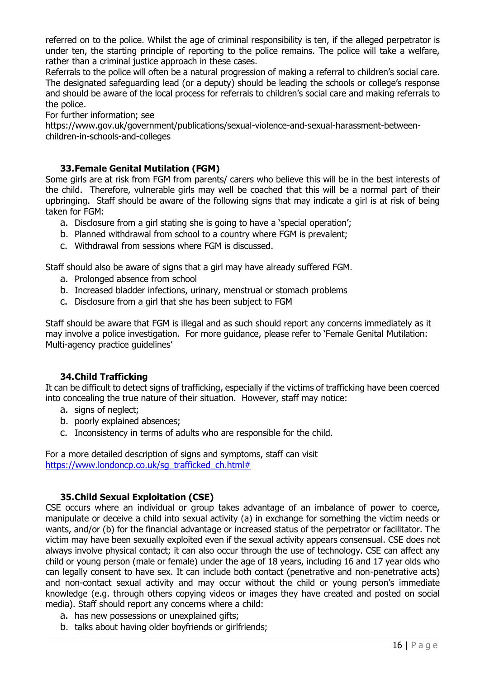referred on to the police. Whilst the age of criminal responsibility is ten, if the alleged perpetrator is under ten, the starting principle of reporting to the police remains. The police will take a welfare, rather than a criminal justice approach in these cases.

Referrals to the police will often be a natural progression of making a referral to children's social care. The designated safeguarding lead (or a deputy) should be leading the schools or college's response and should be aware of the local process for referrals to children's social care and making referrals to the police.

For further information; see

https://www.gov.uk/government/publications/sexual-violence-and-sexual-harassment-betweenchildren-in-schools-and-colleges

## **33.Female Genital Mutilation (FGM)**

Some girls are at risk from FGM from parents/ carers who believe this will be in the best interests of the child. Therefore, vulnerable girls may well be coached that this will be a normal part of their upbringing. Staff should be aware of the following signs that may indicate a girl is at risk of being taken for FGM:

- a. Disclosure from a girl stating she is going to have a 'special operation';
- b. Planned withdrawal from school to a country where FGM is prevalent;
- c. Withdrawal from sessions where FGM is discussed.

Staff should also be aware of signs that a girl may have already suffered FGM.

- a. Prolonged absence from school
- b. Increased bladder infections, urinary, menstrual or stomach problems
- c. Disclosure from a girl that she has been subject to FGM

Staff should be aware that FGM is illegal and as such should report any concerns immediately as it may involve a police investigation. For more guidance, please refer to 'Female Genital Mutilation: Multi-agency practice guidelines'

## **34.Child Trafficking**

It can be difficult to detect signs of trafficking, especially if the victims of trafficking have been coerced into concealing the true nature of their situation. However, staff may notice:

- a. signs of neglect;
- b. poorly explained absences;
- c. Inconsistency in terms of adults who are responsible for the child.

For a more detailed description of signs and symptoms, staff can visit [https://www.londoncp.co.uk/sg\\_trafficked\\_ch.html#](https://www.londoncp.co.uk/sg_trafficked_ch.html)

## **35.Child Sexual Exploitation (CSE)**

CSE occurs where an individual or group takes advantage of an imbalance of power to coerce, manipulate or deceive a child into sexual activity (a) in exchange for something the victim needs or wants, and/or (b) for the financial advantage or increased status of the perpetrator or facilitator. The victim may have been sexually exploited even if the sexual activity appears consensual. CSE does not always involve physical contact; it can also occur through the use of technology. CSE can affect any child or young person (male or female) under the age of 18 years, including 16 and 17 year olds who can legally consent to have sex. It can include both contact (penetrative and non-penetrative acts) and non-contact sexual activity and may occur without the child or young person's immediate knowledge (e.g. through others copying videos or images they have created and posted on social media). Staff should report any concerns where a child:

- a. has new possessions or unexplained gifts;
- b. talks about having older boyfriends or girlfriends;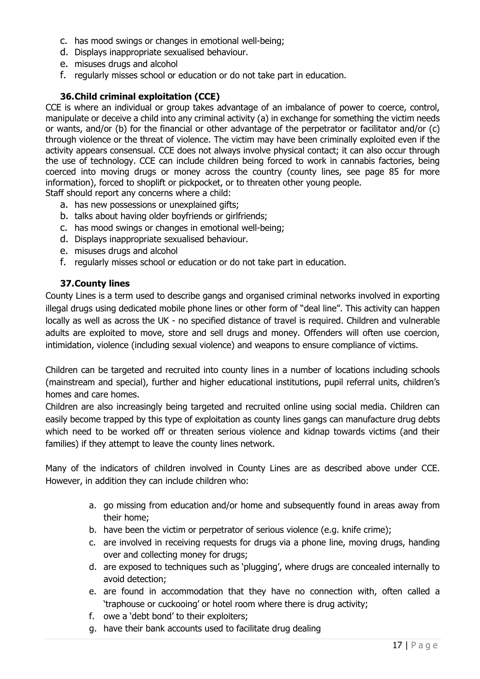- c. has mood swings or changes in emotional well-being;
- d. Displays inappropriate sexualised behaviour.
- e. misuses drugs and alcohol
- f. regularly misses school or education or do not take part in education.

## **36.Child criminal exploitation (CCE)**

CCE is where an individual or group takes advantage of an imbalance of power to coerce, control, manipulate or deceive a child into any criminal activity (a) in exchange for something the victim needs or wants, and/or (b) for the financial or other advantage of the perpetrator or facilitator and/or (c) through violence or the threat of violence. The victim may have been criminally exploited even if the activity appears consensual. CCE does not always involve physical contact; it can also occur through the use of technology. CCE can include children being forced to work in cannabis factories, being coerced into moving drugs or money across the country (county lines, see page 85 for more information), forced to shoplift or pickpocket, or to threaten other young people.

Staff should report any concerns where a child:

- a. has new possessions or unexplained gifts;
- b. talks about having older boyfriends or girlfriends;
- c. has mood swings or changes in emotional well-being;
- d. Displays inappropriate sexualised behaviour.
- e. misuses drugs and alcohol
- f. regularly misses school or education or do not take part in education.

#### **37.County lines**

County Lines is a term used to describe gangs and organised criminal networks involved in exporting illegal drugs using dedicated mobile phone lines or other form of "deal line". This activity can happen locally as well as across the UK - no specified distance of travel is required. Children and vulnerable adults are exploited to move, store and sell drugs and money. Offenders will often use coercion, intimidation, violence (including sexual violence) and weapons to ensure compliance of victims.

Children can be targeted and recruited into county lines in a number of locations including schools (mainstream and special), further and higher educational institutions, pupil referral units, children's homes and care homes.

Children are also increasingly being targeted and recruited online using social media. Children can easily become trapped by this type of exploitation as county lines gangs can manufacture drug debts which need to be worked off or threaten serious violence and kidnap towards victims (and their families) if they attempt to leave the county lines network.

Many of the indicators of children involved in County Lines are as described above under CCE. However, in addition they can include children who:

- a. go missing from education and/or home and subsequently found in areas away from their home;
- b. have been the victim or perpetrator of serious violence (e.g. knife crime);
- c. are involved in receiving requests for drugs via a phone line, moving drugs, handing over and collecting money for drugs;
- d. are exposed to techniques such as 'plugging', where drugs are concealed internally to avoid detection;
- e. are found in accommodation that they have no connection with, often called a 'traphouse or cuckooing' or hotel room where there is drug activity;
- f. owe a 'debt bond' to their exploiters;
- g. have their bank accounts used to facilitate drug dealing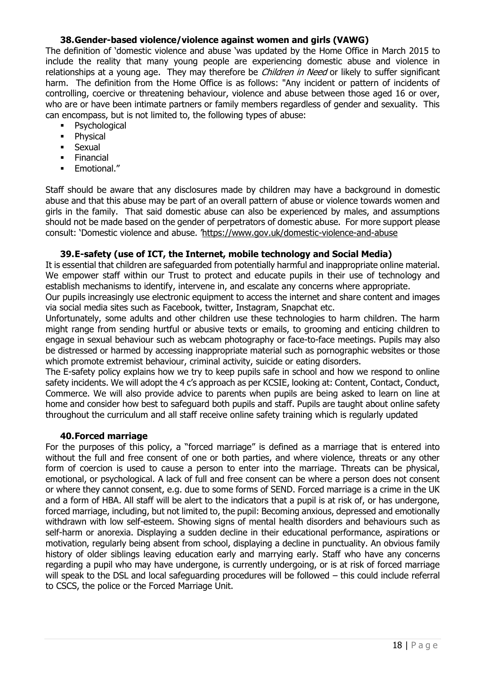## **38.Gender-based violence/violence against women and girls (VAWG)**

The definition of 'domestic violence and abuse 'was updated by the Home Office in March 2015 to include the reality that many young people are experiencing domestic abuse and violence in relationships at a young age. They may therefore be *Children in Need* or likely to suffer significant harm. The definition from the Home Office is as follows: "Any incident or pattern of incidents of controlling, coercive or threatening behaviour, violence and abuse between those aged 16 or over, who are or have been intimate partners or family members regardless of gender and sexuality. This can encompass, but is not limited to, the following types of abuse:

- Psychological
- Physical
- Sexual
- Financial
- Emotional."

Staff should be aware that any disclosures made by children may have a background in domestic abuse and that this abuse may be part of an overall pattern of abuse or violence towards women and girls in the family. That said domestic abuse can also be experienced by males, and assumptions should not be made based on the gender of perpetrators of domestic abuse. For more support please consult: 'Domestic violence and abuse. '<https://www.gov.uk/domestic-violence-and-abuse>

#### **39.E-safety (use of ICT, the Internet, mobile technology and Social Media)**

It is essential that children are safeguarded from potentially harmful and inappropriate online material. We empower staff within our Trust to protect and educate pupils in their use of technology and establish mechanisms to identify, intervene in, and escalate any concerns where appropriate.

Our pupils increasingly use electronic equipment to access the internet and share content and images via social media sites such as Facebook, twitter, Instagram, Snapchat etc.

Unfortunately, some adults and other children use these technologies to harm children. The harm might range from sending hurtful or abusive texts or emails, to grooming and enticing children to engage in sexual behaviour such as webcam photography or face-to-face meetings. Pupils may also be distressed or harmed by accessing inappropriate material such as pornographic websites or those which promote extremist behaviour, criminal activity, suicide or eating disorders.

The E-safety policy explains how we try to keep pupils safe in school and how we respond to online safety incidents. We will adopt the 4 c's approach as per KCSIE, looking at: Content, Contact, Conduct, Commerce. We will also provide advice to parents when pupils are being asked to learn on line at home and consider how best to safeguard both pupils and staff. Pupils are taught about online safety throughout the curriculum and all staff receive online safety training which is regularly updated

#### **40.Forced marriage**

For the purposes of this policy, a "forced marriage" is defined as a marriage that is entered into without the full and free consent of one or both parties, and where violence, threats or any other form of coercion is used to cause a person to enter into the marriage. Threats can be physical, emotional, or psychological. A lack of full and free consent can be where a person does not consent or where they cannot consent, e.g. due to some forms of SEND. Forced marriage is a crime in the UK and a form of HBA. All staff will be alert to the indicators that a pupil is at risk of, or has undergone, forced marriage, including, but not limited to, the pupil: Becoming anxious, depressed and emotionally withdrawn with low self-esteem. Showing signs of mental health disorders and behaviours such as self-harm or anorexia. Displaying a sudden decline in their educational performance, aspirations or motivation, regularly being absent from school, displaying a decline in punctuality. An obvious family history of older siblings leaving education early and marrying early. Staff who have any concerns regarding a pupil who may have undergone, is currently undergoing, or is at risk of forced marriage will speak to the DSL and local safeguarding procedures will be followed – this could include referral to CSCS, the police or the Forced Marriage Unit.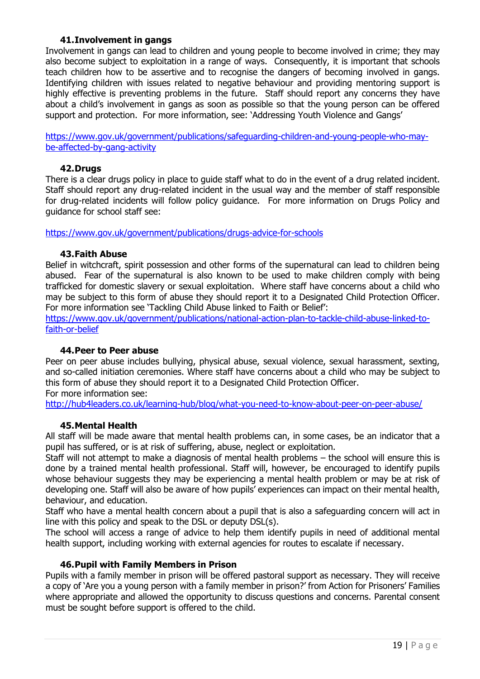### **41.Involvement in gangs**

Involvement in gangs can lead to children and young people to become involved in crime; they may also become subject to exploitation in a range of ways. Consequently, it is important that schools teach children how to be assertive and to recognise the dangers of becoming involved in gangs. Identifying children with issues related to negative behaviour and providing mentoring support is highly effective is preventing problems in the future. Staff should report any concerns they have about a child's involvement in gangs as soon as possible so that the young person can be offered support and protection. For more information, see: 'Addressing Youth Violence and Gangs'

[https://www.gov.uk/government/publications/safeguarding-children-and-young-people-who-may](https://www.gov.uk/government/publications/safeguarding-children-and-young-people-who-may-be-affected-by-gang-activity)[be-affected-by-gang-activity](https://www.gov.uk/government/publications/safeguarding-children-and-young-people-who-may-be-affected-by-gang-activity)

#### **42.Drugs**

There is a clear drugs policy in place to guide staff what to do in the event of a drug related incident. Staff should report any drug-related incident in the usual way and the member of staff responsible for drug-related incidents will follow policy guidance. For more information on Drugs Policy and guidance for school staff see:

<https://www.gov.uk/government/publications/drugs-advice-for-schools>

#### **43.Faith Abuse**

Belief in witchcraft, spirit possession and other forms of the supernatural can lead to children being abused. Fear of the supernatural is also known to be used to make children comply with being trafficked for domestic slavery or sexual exploitation. Where staff have concerns about a child who may be subject to this form of abuse they should report it to a Designated Child Protection Officer. For more information see 'Tackling Child Abuse linked to Faith or Belief':

[https://www.gov.uk/government/publications/national-action-plan-to-tackle-child-abuse-linked-to](https://www.gov.uk/government/publications/national-action-plan-to-tackle-child-abuse-linked-to-faith-or-belief)[faith-or-belief](https://www.gov.uk/government/publications/national-action-plan-to-tackle-child-abuse-linked-to-faith-or-belief)

#### **44.Peer to Peer abuse**

Peer on peer abuse includes bullying, physical abuse, sexual violence, sexual harassment, sexting, and so-called initiation ceremonies. Where staff have concerns about a child who may be subject to this form of abuse they should report it to a Designated Child Protection Officer.

For more information see:

<http://hub4leaders.co.uk/learning-hub/blog/what-you-need-to-know-about-peer-on-peer-abuse/>

#### **45.Mental Health**

All staff will be made aware that mental health problems can, in some cases, be an indicator that a pupil has suffered, or is at risk of suffering, abuse, neglect or exploitation.

Staff will not attempt to make a diagnosis of mental health problems – the school will ensure this is done by a trained mental health professional. Staff will, however, be encouraged to identify pupils whose behaviour suggests they may be experiencing a mental health problem or may be at risk of developing one. Staff will also be aware of how pupils' experiences can impact on their mental health, behaviour, and education.

Staff who have a mental health concern about a pupil that is also a safeguarding concern will act in line with this policy and speak to the DSL or deputy DSL(s).

The school will access a range of advice to help them identify pupils in need of additional mental health support, including working with external agencies for routes to escalate if necessary.

#### **46.Pupil with Family Members in Prison**

Pupils with a family member in prison will be offered pastoral support as necessary. They will receive a copy of 'Are you a young person with a family member in prison?' from Action for Prisoners' Families where appropriate and allowed the opportunity to discuss questions and concerns. Parental consent must be sought before support is offered to the child.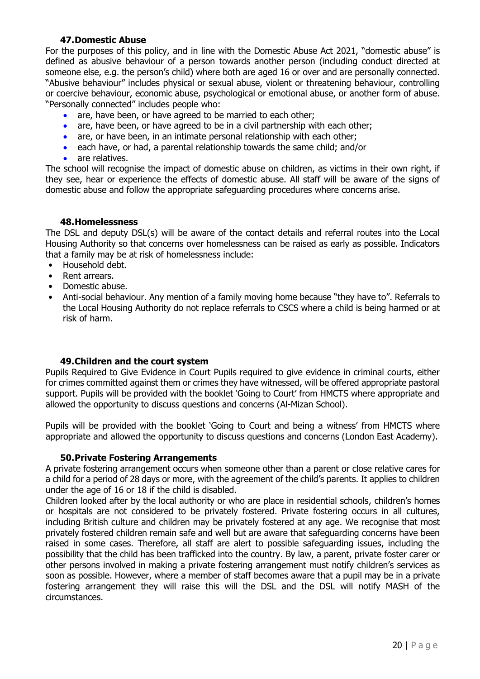### **47.Domestic Abuse**

For the purposes of this policy, and in line with the Domestic Abuse Act 2021, "domestic abuse" is defined as abusive behaviour of a person towards another person (including conduct directed at someone else, e.g. the person's child) where both are aged 16 or over and are personally connected. "Abusive behaviour" includes physical or sexual abuse, violent or threatening behaviour, controlling or coercive behaviour, economic abuse, psychological or emotional abuse, or another form of abuse. "Personally connected" includes people who:

- are, have been, or have agreed to be married to each other;
- are, have been, or have agreed to be in a civil partnership with each other;
- are, or have been, in an intimate personal relationship with each other;
- each have, or had, a parental relationship towards the same child; and/or
- are relatives.

The school will recognise the impact of domestic abuse on children, as victims in their own right, if they see, hear or experience the effects of domestic abuse. All staff will be aware of the signs of domestic abuse and follow the appropriate safeguarding procedures where concerns arise.

#### **48.Homelessness**

The DSL and deputy DSL(s) will be aware of the contact details and referral routes into the Local Housing Authority so that concerns over homelessness can be raised as early as possible. Indicators that a family may be at risk of homelessness include:

- Household debt.
- Rent arrears.
- Domestic abuse.
- Anti-social behaviour. Any mention of a family moving home because "they have to". Referrals to the Local Housing Authority do not replace referrals to CSCS where a child is being harmed or at risk of harm.

#### **49.Children and the court system**

Pupils Required to Give Evidence in Court Pupils required to give evidence in criminal courts, either for crimes committed against them or crimes they have witnessed, will be offered appropriate pastoral support. Pupils will be provided with the booklet 'Going to Court' from HMCTS where appropriate and allowed the opportunity to discuss questions and concerns (Al-Mizan School).

Pupils will be provided with the booklet 'Going to Court and being a witness' from HMCTS where appropriate and allowed the opportunity to discuss questions and concerns (London East Academy).

#### **50.Private Fostering Arrangements**

A private fostering arrangement occurs when someone other than a parent or close relative cares for a child for a period of 28 days or more, with the agreement of the child's parents. It applies to children under the age of 16 or 18 if the child is disabled.

Children looked after by the local authority or who are place in residential schools, children's homes or hospitals are not considered to be privately fostered. Private fostering occurs in all cultures, including British culture and children may be privately fostered at any age. We recognise that most privately fostered children remain safe and well but are aware that safeguarding concerns have been raised in some cases. Therefore, all staff are alert to possible safeguarding issues, including the possibility that the child has been trafficked into the country. By law, a parent, private foster carer or other persons involved in making a private fostering arrangement must notify children's services as soon as possible. However, where a member of staff becomes aware that a pupil may be in a private fostering arrangement they will raise this will the DSL and the DSL will notify MASH of the circumstances.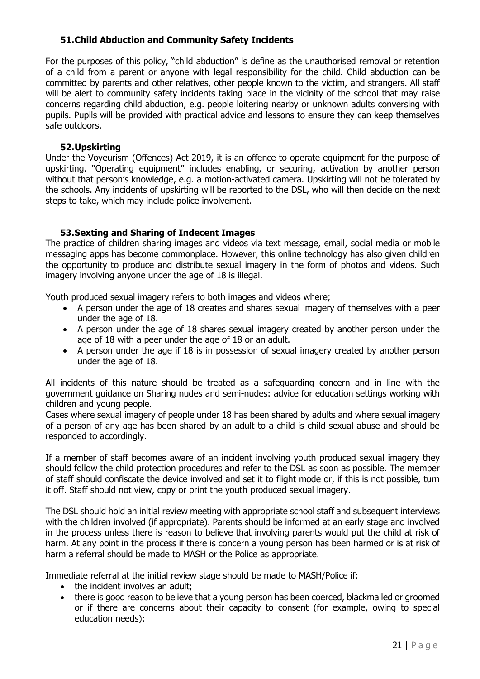## **51.Child Abduction and Community Safety Incidents**

For the purposes of this policy, "child abduction" is define as the unauthorised removal or retention of a child from a parent or anyone with legal responsibility for the child. Child abduction can be committed by parents and other relatives, other people known to the victim, and strangers. All staff will be alert to community safety incidents taking place in the vicinity of the school that may raise concerns regarding child abduction, e.g. people loitering nearby or unknown adults conversing with pupils. Pupils will be provided with practical advice and lessons to ensure they can keep themselves safe outdoors.

### **52.Upskirting**

Under the Voyeurism (Offences) Act 2019, it is an offence to operate equipment for the purpose of upskirting. "Operating equipment" includes enabling, or securing, activation by another person without that person's knowledge, e.g. a motion-activated camera. Upskirting will not be tolerated by the schools. Any incidents of upskirting will be reported to the DSL, who will then decide on the next steps to take, which may include police involvement.

## **53.Sexting and Sharing of Indecent Images**

The practice of children sharing images and videos via text message, email, social media or mobile messaging apps has become commonplace. However, this online technology has also given children the opportunity to produce and distribute sexual imagery in the form of photos and videos. Such imagery involving anyone under the age of 18 is illegal.

Youth produced sexual imagery refers to both images and videos where;

- A person under the age of 18 creates and shares sexual imagery of themselves with a peer under the age of 18.
- A person under the age of 18 shares sexual imagery created by another person under the age of 18 with a peer under the age of 18 or an adult.
- A person under the age if 18 is in possession of sexual imagery created by another person under the age of 18.

All incidents of this nature should be treated as a safeguarding concern and in line with the government guidance on Sharing nudes and semi-nudes: advice for education settings working with children and young people.

Cases where sexual imagery of people under 18 has been shared by adults and where sexual imagery of a person of any age has been shared by an adult to a child is child sexual abuse and should be responded to accordingly.

If a member of staff becomes aware of an incident involving youth produced sexual imagery they should follow the child protection procedures and refer to the DSL as soon as possible. The member of staff should confiscate the device involved and set it to flight mode or, if this is not possible, turn it off. Staff should not view, copy or print the youth produced sexual imagery.

The DSL should hold an initial review meeting with appropriate school staff and subsequent interviews with the children involved (if appropriate). Parents should be informed at an early stage and involved in the process unless there is reason to believe that involving parents would put the child at risk of harm. At any point in the process if there is concern a young person has been harmed or is at risk of harm a referral should be made to MASH or the Police as appropriate.

Immediate referral at the initial review stage should be made to MASH/Police if:

- the incident involves an adult;
- there is good reason to believe that a young person has been coerced, blackmailed or groomed or if there are concerns about their capacity to consent (for example, owing to special education needs);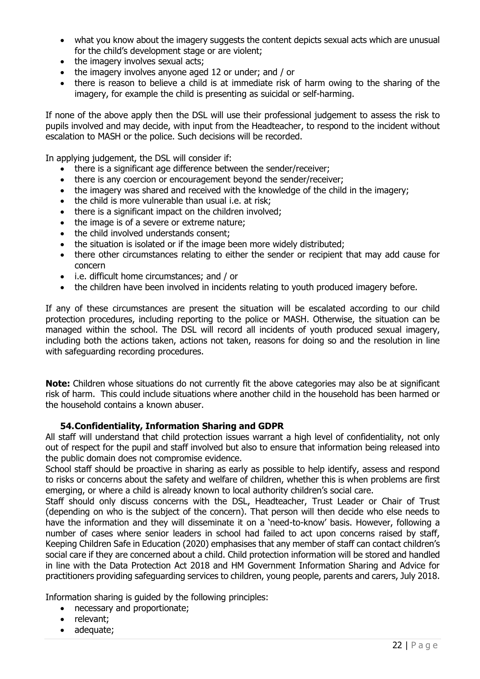- what you know about the imagery suggests the content depicts sexual acts which are unusual for the child's development stage or are violent;
- the imagery involves sexual acts;
- the imagery involves anyone aged 12 or under; and / or
- there is reason to believe a child is at immediate risk of harm owing to the sharing of the imagery, for example the child is presenting as suicidal or self-harming.

If none of the above apply then the DSL will use their professional judgement to assess the risk to pupils involved and may decide, with input from the Headteacher, to respond to the incident without escalation to MASH or the police. Such decisions will be recorded.

In applying judgement, the DSL will consider if:

- there is a significant age difference between the sender/receiver;
- there is any coercion or encouragement beyond the sender/receiver;
- the imagery was shared and received with the knowledge of the child in the imagery:
- the child is more vulnerable than usual i.e. at risk;
- there is a significant impact on the children involved:
- the image is of a severe or extreme nature;
- the child involved understands consent;
- the situation is isolated or if the image been more widely distributed;
- there other circumstances relating to either the sender or recipient that may add cause for concern
- i.e. difficult home circumstances; and / or
- the children have been involved in incidents relating to youth produced imagery before.

If any of these circumstances are present the situation will be escalated according to our child protection procedures, including reporting to the police or MASH. Otherwise, the situation can be managed within the school. The DSL will record all incidents of youth produced sexual imagery, including both the actions taken, actions not taken, reasons for doing so and the resolution in line with safeguarding recording procedures.

**Note:** Children whose situations do not currently fit the above categories may also be at significant risk of harm. This could include situations where another child in the household has been harmed or the household contains a known abuser.

#### **54.Confidentiality, Information Sharing and GDPR**

All staff will understand that child protection issues warrant a high level of confidentiality, not only out of respect for the pupil and staff involved but also to ensure that information being released into the public domain does not compromise evidence.

School staff should be proactive in sharing as early as possible to help identify, assess and respond to risks or concerns about the safety and welfare of children, whether this is when problems are first emerging, or where a child is already known to local authority children's social care.

Staff should only discuss concerns with the DSL, Headteacher, Trust Leader or Chair of Trust (depending on who is the subject of the concern). That person will then decide who else needs to have the information and they will disseminate it on a 'need-to-know' basis. However, following a number of cases where senior leaders in school had failed to act upon concerns raised by staff, Keeping Children Safe in Education (2020) emphasises that any member of staff can contact children's social care if they are concerned about a child. Child protection information will be stored and handled in line with the Data Protection Act 2018 and HM Government Information Sharing and Advice for practitioners providing safeguarding services to children, young people, parents and carers, July 2018.

Information sharing is guided by the following principles:

- necessary and proportionate;
- relevant;
- adequate;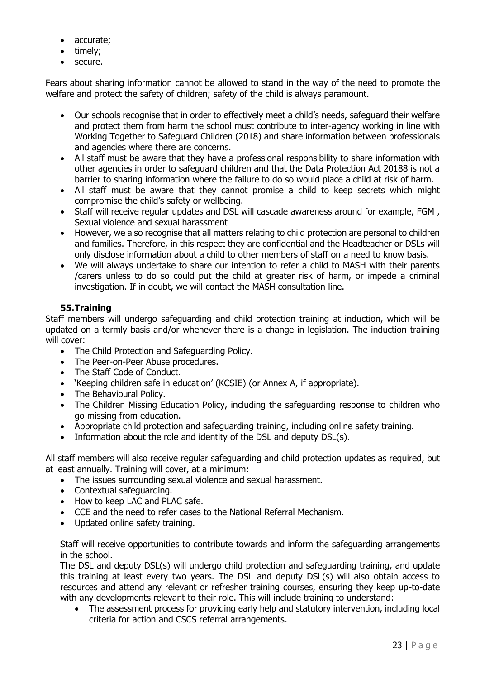- accurate;
- timely;
- secure.

Fears about sharing information cannot be allowed to stand in the way of the need to promote the welfare and protect the safety of children; safety of the child is always paramount.

- Our schools recognise that in order to effectively meet a child's needs, safeguard their welfare and protect them from harm the school must contribute to inter-agency working in line with Working Together to Safeguard Children (2018) and share information between professionals and agencies where there are concerns.
- All staff must be aware that they have a professional responsibility to share information with other agencies in order to safeguard children and that the Data Protection Act 20188 is not a barrier to sharing information where the failure to do so would place a child at risk of harm.
- All staff must be aware that they cannot promise a child to keep secrets which might compromise the child's safety or wellbeing.
- Staff will receive regular updates and DSL will cascade awareness around for example, FGM, Sexual violence and sexual harassment
- However, we also recognise that all matters relating to child protection are personal to children and families. Therefore, in this respect they are confidential and the Headteacher or DSLs will only disclose information about a child to other members of staff on a need to know basis.
- We will always undertake to share our intention to refer a child to MASH with their parents /carers unless to do so could put the child at greater risk of harm, or impede a criminal investigation. If in doubt, we will contact the MASH consultation line.

## **55.Training**

Staff members will undergo safeguarding and child protection training at induction, which will be updated on a termly basis and/or whenever there is a change in legislation. The induction training will cover:

- The Child Protection and Safeguarding Policy.
- The Peer-on-Peer Abuse procedures.
- The Staff Code of Conduct.
- 'Keeping children safe in education' (KCSIE) (or Annex A, if appropriate).
- The Behavioural Policy.
- The Children Missing Education Policy, including the safeguarding response to children who go missing from education.
- Appropriate child protection and safeguarding training, including online safety training.
- Information about the role and identity of the DSL and deputy DSL(s).

All staff members will also receive regular safeguarding and child protection updates as required, but at least annually. Training will cover, at a minimum:

- The issues surrounding sexual violence and sexual harassment.
- Contextual safeguarding.
- How to keep LAC and PLAC safe.
- CCE and the need to refer cases to the National Referral Mechanism.
- Updated online safety training.

Staff will receive opportunities to contribute towards and inform the safeguarding arrangements in the school.

The DSL and deputy DSL(s) will undergo child protection and safeguarding training, and update this training at least every two years. The DSL and deputy DSL(s) will also obtain access to resources and attend any relevant or refresher training courses, ensuring they keep up-to-date with any developments relevant to their role. This will include training to understand:

• The assessment process for providing early help and statutory intervention, including local criteria for action and CSCS referral arrangements.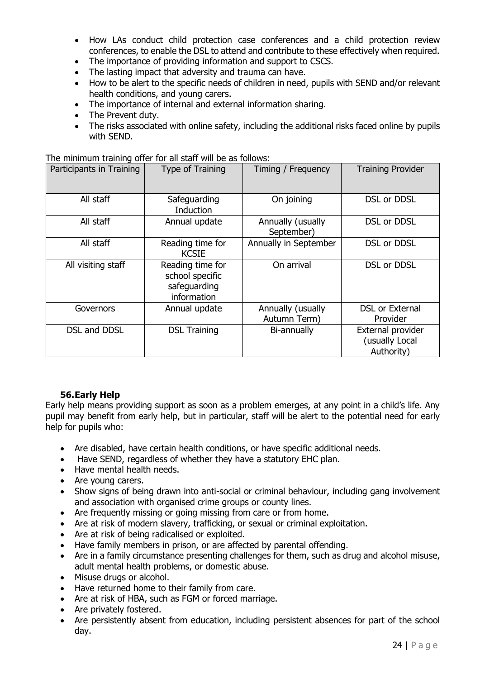- How LAs conduct child protection case conferences and a child protection review conferences, to enable the DSL to attend and contribute to these effectively when required.
- The importance of providing information and support to CSCS.
- The lasting impact that adversity and trauma can have.
- How to be alert to the specific needs of children in need, pupils with SEND and/or relevant health conditions, and young carers.
- The importance of internal and external information sharing.
- The Prevent duty.
- The risks associated with online safety, including the additional risks faced online by pupils with SEND.

The minimum training offer for all staff will be as follows:

| Participants in Training | Type of Training                                                   | Timing / Frequency                | <b>Training Provider</b>                          |
|--------------------------|--------------------------------------------------------------------|-----------------------------------|---------------------------------------------------|
| All staff                | Safeguarding<br><b>Induction</b>                                   | On joining                        | DSL or DDSL                                       |
| All staff                | Annual update                                                      | Annually (usually<br>September)   | <b>DSL or DDSL</b>                                |
| All staff                | Reading time for<br><b>KCSIE</b>                                   | Annually in September             | <b>DSL or DDSL</b>                                |
| All visiting staff       | Reading time for<br>school specific<br>safeguarding<br>information | On arrival                        | DSL or DDSL                                       |
| Governors                | Annual update                                                      | Annually (usually<br>Autumn Term) | <b>DSL or External</b><br>Provider                |
| <b>DSL and DDSL</b>      | <b>DSL Training</b>                                                | Bi-annually                       | External provider<br>(usually Local<br>Authority) |

## **56.Early Help**

Early help means providing support as soon as a problem emerges, at any point in a child's life. Any pupil may benefit from early help, but in particular, staff will be alert to the potential need for early help for pupils who:

- Are disabled, have certain health conditions, or have specific additional needs.
- Have SEND, regardless of whether they have a statutory EHC plan.
- Have mental health needs.
- Are young carers.
- Show signs of being drawn into anti-social or criminal behaviour, including gang involvement and association with organised crime groups or county lines.
- Are frequently missing or going missing from care or from home.
- Are at risk of modern slavery, trafficking, or sexual or criminal exploitation.
- Are at risk of being radicalised or exploited.
- Have family members in prison, or are affected by parental offending.
- Are in a family circumstance presenting challenges for them, such as drug and alcohol misuse, adult mental health problems, or domestic abuse.
- Misuse drugs or alcohol.
- Have returned home to their family from care.
- Are at risk of HBA, such as FGM or forced marriage.
- Are privately fostered.
- Are persistently absent from education, including persistent absences for part of the school day.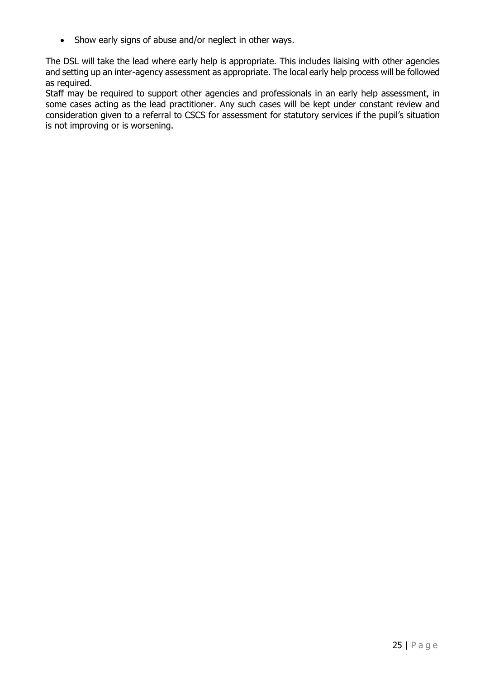• Show early signs of abuse and/or neglect in other ways.

The DSL will take the lead where early help is appropriate. This includes liaising with other agencies and setting up an inter-agency assessment as appropriate. The local early help process will be followed as required.

Staff may be required to support other agencies and professionals in an early help assessment, in some cases acting as the lead practitioner. Any such cases will be kept under constant review and consideration given to a referral to CSCS for assessment for statutory services if the pupil's situation is not improving or is worsening.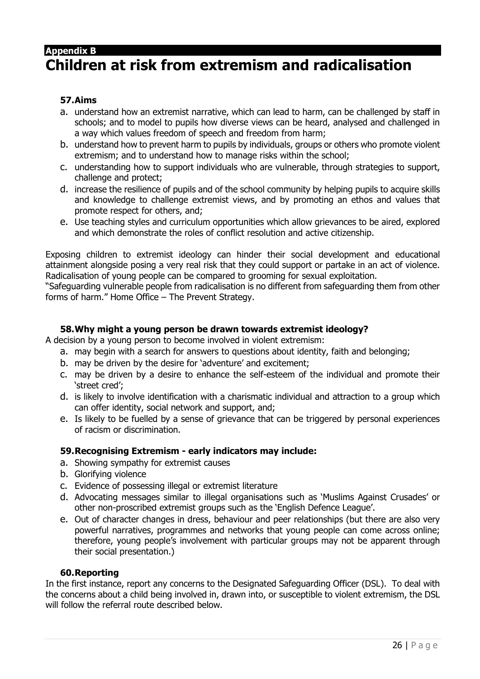## **Appendix B**

## **Children at risk from extremism and radicalisation**

## **57.Aims**

- a. understand how an extremist narrative, which can lead to harm, can be challenged by staff in schools; and to model to pupils how diverse views can be heard, analysed and challenged in a way which values freedom of speech and freedom from harm;
- b. understand how to prevent harm to pupils by individuals, groups or others who promote violent extremism; and to understand how to manage risks within the school;
- c. understanding how to support individuals who are vulnerable, through strategies to support, challenge and protect;
- d. increase the resilience of pupils and of the school community by helping pupils to acquire skills and knowledge to challenge extremist views, and by promoting an ethos and values that promote respect for others, and;
- e. Use teaching styles and curriculum opportunities which allow grievances to be aired, explored and which demonstrate the roles of conflict resolution and active citizenship.

Exposing children to extremist ideology can hinder their social development and educational attainment alongside posing a very real risk that they could support or partake in an act of violence. Radicalisation of young people can be compared to grooming for sexual exploitation.

"Safeguarding vulnerable people from radicalisation is no different from safeguarding them from other forms of harm." Home Office – The Prevent Strategy.

#### **58.Why might a young person be drawn towards extremist ideology?**

A decision by a young person to become involved in violent extremism:

- a. may begin with a search for answers to questions about identity, faith and belonging;
- b. may be driven by the desire for 'adventure' and excitement;
- c. may be driven by a desire to enhance the self-esteem of the individual and promote their 'street cred';
- d. is likely to involve identification with a charismatic individual and attraction to a group which can offer identity, social network and support, and;
- e. Is likely to be fuelled by a sense of grievance that can be triggered by personal experiences of racism or discrimination.

## **59.Recognising Extremism - early indicators may include:**

- a. Showing sympathy for extremist causes
- b. Glorifying violence
- c. Evidence of possessing illegal or extremist literature
- d. Advocating messages similar to illegal organisations such as 'Muslims Against Crusades' or other non-proscribed extremist groups such as the 'English Defence League'.
- e. Out of character changes in dress, behaviour and peer relationships (but there are also very powerful narratives, programmes and networks that young people can come across online; therefore, young people's involvement with particular groups may not be apparent through their social presentation.)

## **60.Reporting**

In the first instance, report any concerns to the Designated Safeguarding Officer (DSL). To deal with the concerns about a child being involved in, drawn into, or susceptible to violent extremism, the DSL will follow the referral route described below.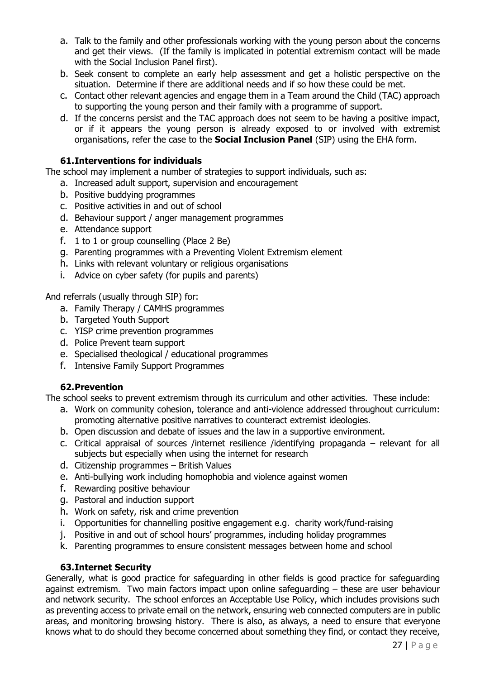- a. Talk to the family and other professionals working with the young person about the concerns and get their views. (If the family is implicated in potential extremism contact will be made with the Social Inclusion Panel first).
- b. Seek consent to complete an early help assessment and get a holistic perspective on the situation. Determine if there are additional needs and if so how these could be met.
- c. Contact other relevant agencies and engage them in a Team around the Child (TAC) approach to supporting the young person and their family with a programme of support.
- d. If the concerns persist and the TAC approach does not seem to be having a positive impact, or if it appears the young person is already exposed to or involved with extremist organisations, refer the case to the **Social Inclusion Panel** (SIP) using the EHA form.

## **61.Interventions for individuals**

The school may implement a number of strategies to support individuals, such as:

- a. Increased adult support, supervision and encouragement
- b. Positive buddying programmes
- c. Positive activities in and out of school
- d. Behaviour support / anger management programmes
- e. Attendance support
- f. 1 to 1 or group counselling (Place 2 Be)
- g. Parenting programmes with a Preventing Violent Extremism element
- h. Links with relevant voluntary or religious organisations
- i. Advice on cyber safety (for pupils and parents)

And referrals (usually through SIP) for:

- a. Family Therapy / CAMHS programmes
- b. Targeted Youth Support
- c. YISP crime prevention programmes
- d. Police Prevent team support
- e. Specialised theological / educational programmes
- f. Intensive Family Support Programmes

## **62.Prevention**

The school seeks to prevent extremism through its curriculum and other activities. These include:

- a. Work on community cohesion, tolerance and anti-violence addressed throughout curriculum: promoting alternative positive narratives to counteract extremist ideologies.
- b. Open discussion and debate of issues and the law in a supportive environment.
- c. Critical appraisal of sources /internet resilience /identifying propaganda relevant for all subjects but especially when using the internet for research
- d. Citizenship programmes British Values
- e. Anti-bullying work including homophobia and violence against women
- f. Rewarding positive behaviour
- g. Pastoral and induction support
- h. Work on safety, risk and crime prevention
- i. Opportunities for channelling positive engagement e.g. charity work/fund-raising
- j. Positive in and out of school hours' programmes, including holiday programmes
- k. Parenting programmes to ensure consistent messages between home and school

#### **63.Internet Security**

Generally, what is good practice for safeguarding in other fields is good practice for safeguarding against extremism. Two main factors impact upon online safeguarding – these are user behaviour and network security. The school enforces an Acceptable Use Policy, which includes provisions such as preventing access to private email on the network, ensuring web connected computers are in public areas, and monitoring browsing history. There is also, as always, a need to ensure that everyone knows what to do should they become concerned about something they find, or contact they receive,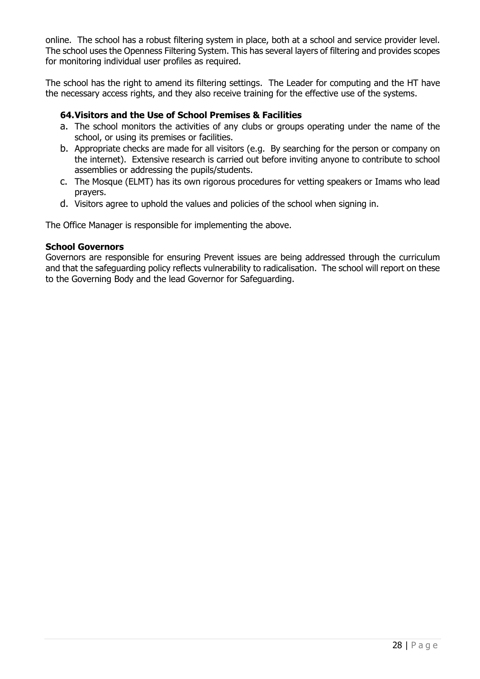online. The school has a robust filtering system in place, both at a school and service provider level. The school uses the Openness Filtering System. This has several layers of filtering and provides scopes for monitoring individual user profiles as required.

The school has the right to amend its filtering settings. The Leader for computing and the HT have the necessary access rights, and they also receive training for the effective use of the systems.

## **64.Visitors and the Use of School Premises & Facilities**

- a. The school monitors the activities of any clubs or groups operating under the name of the school, or using its premises or facilities.
- b. Appropriate checks are made for all visitors (e.g. By searching for the person or company on the internet). Extensive research is carried out before inviting anyone to contribute to school assemblies or addressing the pupils/students.
- c. The Mosque (ELMT) has its own rigorous procedures for vetting speakers or Imams who lead prayers.
- d. Visitors agree to uphold the values and policies of the school when signing in.

The Office Manager is responsible for implementing the above.

#### **School Governors**

Governors are responsible for ensuring Prevent issues are being addressed through the curriculum and that the safeguarding policy reflects vulnerability to radicalisation. The school will report on these to the Governing Body and the lead Governor for Safeguarding.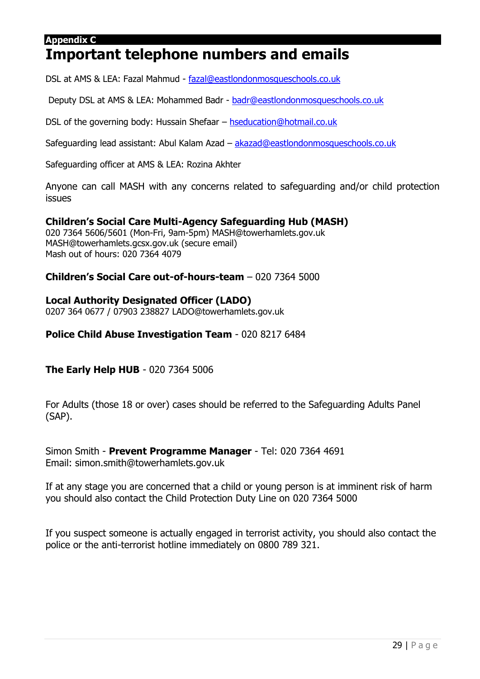### **Appendix C**

## **Important telephone numbers and emails**

DSL at AMS & LEA: Fazal Mahmud - [fazal@eastlondonmosqueschools.co.uk](mailto:fazal@eastlondonmosqueschools.co.uk)

Deputy DSL at AMS & LEA: Mohammed Badr - [badr@eastlondonmosqueschools.co.uk](mailto:badr@eastlondonmosqueschools.co.uk)

DSL of the governing body: Hussain Shefaar – [hseducation@hotmail.co.uk](mailto:hseducation@hotmail.co.uk)

Safeguarding lead assistant: Abul Kalam Azad – [akazad@eastlondonmosqueschools.co.uk](mailto:akazad@eastlondonmosqueschools.co.uk)

Safeguarding officer at AMS & LEA: Rozina Akhter

Anyone can call MASH with any concerns related to safeguarding and/or child protection issues

## **Children's Social Care Multi-Agency Safeguarding Hub (MASH)**

020 7364 5606/5601 (Mon-Fri, 9am-5pm) MASH@towerhamlets.gov.uk MASH@towerhamlets.gcsx.gov.uk (secure email) Mash out of hours: 020 7364 4079

## **Children's Social Care out-of-hours-team** – 020 7364 5000

## **Local Authority Designated Officer (LADO)**

0207 364 0677 / 07903 238827 LADO@towerhamlets.gov.uk

## **Police Child Abuse Investigation Team** - 020 8217 6484

**The Early Help HUB** - 020 7364 5006

For Adults (those 18 or over) cases should be referred to the Safeguarding Adults Panel (SAP).

Simon Smith - **Prevent Programme Manager** - Tel: 020 7364 4691 Email: simon.smith@towerhamlets.gov.uk

If at any stage you are concerned that a child or young person is at imminent risk of harm you should also contact the Child Protection Duty Line on 020 7364 5000

If you suspect someone is actually engaged in terrorist activity, you should also contact the police or the anti-terrorist hotline immediately on 0800 789 321.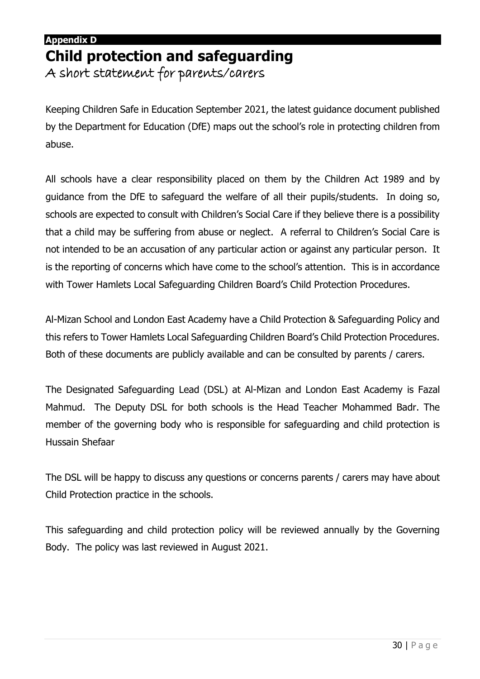## **Appendix D Child protection and safeguarding**

A short statement for parents/carers

Keeping Children Safe in Education September 2021, the latest guidance document published by the Department for Education (DfE) maps out the school's role in protecting children from abuse.

All schools have a clear responsibility placed on them by the Children Act 1989 and by guidance from the DfE to safeguard the welfare of all their pupils/students. In doing so, schools are expected to consult with Children's Social Care if they believe there is a possibility that a child may be suffering from abuse or neglect. A referral to Children's Social Care is not intended to be an accusation of any particular action or against any particular person. It is the reporting of concerns which have come to the school's attention. This is in accordance with Tower Hamlets Local Safeguarding Children Board's Child Protection Procedures.

Al-Mizan School and London East Academy have a Child Protection & Safeguarding Policy and this refers to Tower Hamlets Local Safeguarding Children Board's Child Protection Procedures. Both of these documents are publicly available and can be consulted by parents / carers.

The Designated Safeguarding Lead (DSL) at Al-Mizan and London East Academy is Fazal Mahmud. The Deputy DSL for both schools is the Head Teacher Mohammed Badr. The member of the governing body who is responsible for safeguarding and child protection is Hussain Shefaar

The DSL will be happy to discuss any questions or concerns parents / carers may have about Child Protection practice in the schools.

This safeguarding and child protection policy will be reviewed annually by the Governing Body. The policy was last reviewed in August 2021.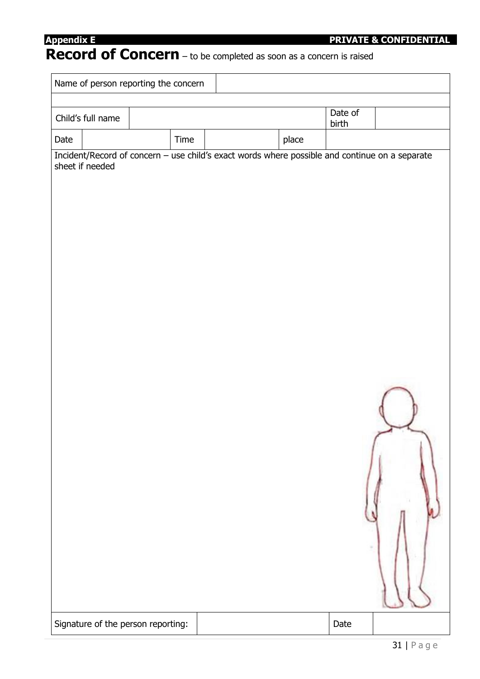## **Record of Concern** – to be completed as soon as a concern is raised

|      | Name of person reporting the concern |      |                                                                                                |       |         |  |
|------|--------------------------------------|------|------------------------------------------------------------------------------------------------|-------|---------|--|
|      | Child's full name                    |      |                                                                                                |       | Date of |  |
|      |                                      |      |                                                                                                |       | birth   |  |
| Date |                                      | Time |                                                                                                | place |         |  |
|      | sheet if needed                      |      | Incident/Record of concern - use child's exact words where possible and continue on a separate |       |         |  |
|      | Signature of the person reporting:   |      |                                                                                                |       | Date    |  |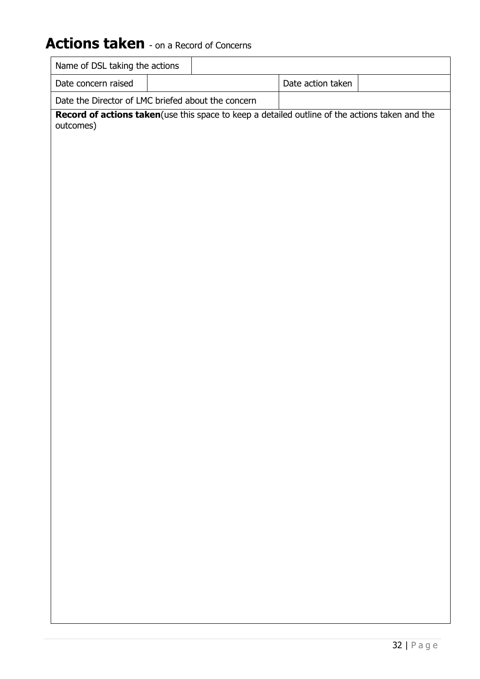## Actions taken - on a Record of Concerns

| Name of DSL taking the actions                     |                                                                                                 |
|----------------------------------------------------|-------------------------------------------------------------------------------------------------|
| Date concern raised                                | Date action taken                                                                               |
| Date the Director of LMC briefed about the concern |                                                                                                 |
| outcomes)                                          | Record of actions taken (use this space to keep a detailed outline of the actions taken and the |
|                                                    |                                                                                                 |
|                                                    |                                                                                                 |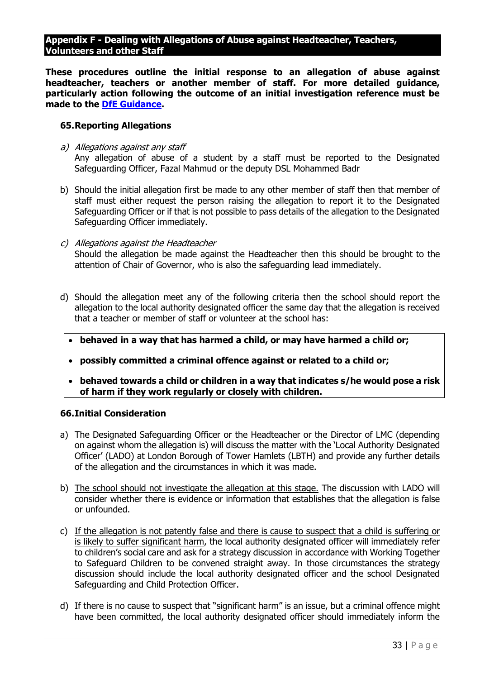#### **Appendix F - Dealing with Allegations of Abuse against Headteacher, Teachers, Volunteers and other Staff**

**These procedures outline the initial response to an allegation of abuse against headteacher, teachers or another member of staff. For more detailed guidance, particularly action following the outcome of an initial investigation reference must be made to the [DfE Guidance.](http://media.education.gov.uk/assets/files/pdf/d/dealing%20with%20allegations%20of%20abuse%20october%202012.pdf)**

#### **65.Reporting Allegations**

- a) Allegations against any staff Any allegation of abuse of a student by a staff must be reported to the Designated Safeguarding Officer, Fazal Mahmud or the deputy DSL Mohammed Badr
- b) Should the initial allegation first be made to any other member of staff then that member of staff must either request the person raising the allegation to report it to the Designated Safeguarding Officer or if that is not possible to pass details of the allegation to the Designated Safeguarding Officer immediately.
- c) Allegations against the Headteacher Should the allegation be made against the Headteacher then this should be brought to the attention of Chair of Governor, who is also the safeguarding lead immediately.
- d) Should the allegation meet any of the following criteria then the school should report the allegation to the local authority designated officer the same day that the allegation is received that a teacher or member of staff or volunteer at the school has:
	- **behaved in a way that has harmed a child, or may have harmed a child or;**
	- **possibly committed a criminal offence against or related to a child or;**
	- **behaved towards a child or children in a way that indicates s/he would pose a risk of harm if they work regularly or closely with children.**

#### **66.Initial Consideration**

- a) The Designated Safeguarding Officer or the Headteacher or the Director of LMC (depending on against whom the allegation is) will discuss the matter with the 'Local Authority Designated Officer' (LADO) at London Borough of Tower Hamlets (LBTH) and provide any further details of the allegation and the circumstances in which it was made.
- b) The school should not investigate the allegation at this stage. The discussion with LADO will consider whether there is evidence or information that establishes that the allegation is false or unfounded.
- c) If the allegation is not patently false and there is cause to suspect that a child is suffering or is likely to suffer significant harm, the local authority designated officer will immediately refer to children's social care and ask for a strategy discussion in accordance with Working Together to Safeguard Children to be convened straight away. In those circumstances the strategy discussion should include the local authority designated officer and the school Designated Safeguarding and Child Protection Officer.
- d) If there is no cause to suspect that "significant harm" is an issue, but a criminal offence might have been committed, the local authority designated officer should immediately inform the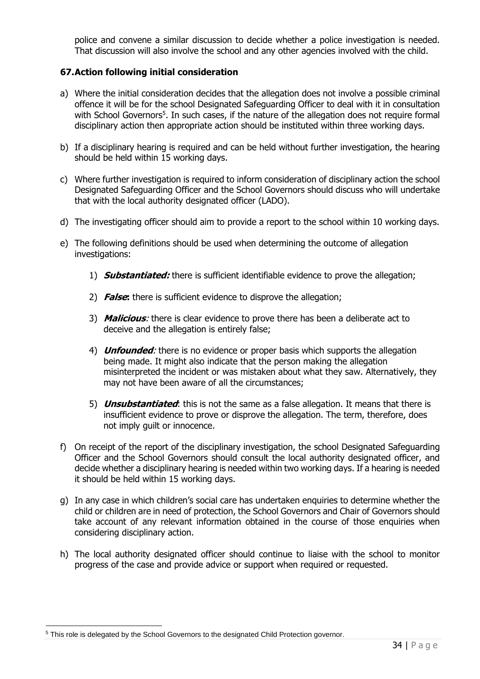police and convene a similar discussion to decide whether a police investigation is needed. That discussion will also involve the school and any other agencies involved with the child.

## **67.Action following initial consideration**

- a) Where the initial consideration decides that the allegation does not involve a possible criminal offence it will be for the school Designated Safeguarding Officer to deal with it in consultation with School Governors<sup>5</sup>. In such cases, if the nature of the allegation does not require formal disciplinary action then appropriate action should be instituted within three working days.
- b) If a disciplinary hearing is required and can be held without further investigation, the hearing should be held within 15 working days.
- c) Where further investigation is required to inform consideration of disciplinary action the school Designated Safeguarding Officer and the School Governors should discuss who will undertake that with the local authority designated officer (LADO).
- d) The investigating officer should aim to provide a report to the school within 10 working days.
- e) The following definitions should be used when determining the outcome of allegation investigations:
	- 1) **Substantiated:** there is sufficient identifiable evidence to prove the allegation;
	- 2) **False:** there is sufficient evidence to disprove the allegation;
	- 3) **Malicious**: there is clear evidence to prove there has been a deliberate act to deceive and the allegation is entirely false;
	- 4) **Unfounded**: there is no evidence or proper basis which supports the allegation being made. It might also indicate that the person making the allegation misinterpreted the incident or was mistaken about what they saw. Alternatively, they may not have been aware of all the circumstances;
	- 5) **Unsubstantiated**: this is not the same as a false allegation. It means that there is insufficient evidence to prove or disprove the allegation. The term, therefore, does not imply guilt or innocence.
- f) On receipt of the report of the disciplinary investigation, the school Designated Safeguarding Officer and the School Governors should consult the local authority designated officer, and decide whether a disciplinary hearing is needed within two working days. If a hearing is needed it should be held within 15 working days.
- g) In any case in which children's social care has undertaken enquiries to determine whether the child or children are in need of protection, the School Governors and Chair of Governors should take account of any relevant information obtained in the course of those enquiries when considering disciplinary action.
- h) The local authority designated officer should continue to liaise with the school to monitor progress of the case and provide advice or support when required or requested.

<sup>5</sup> This role is delegated by the School Governors to the designated Child Protection governor.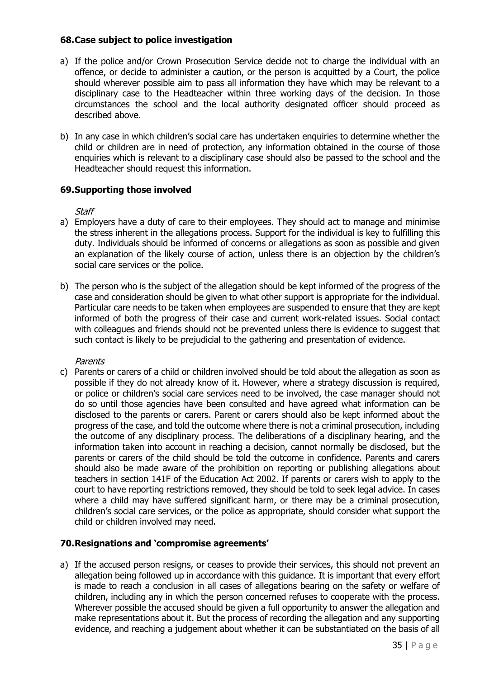#### **68.Case subject to police investigation**

- a) If the police and/or Crown Prosecution Service decide not to charge the individual with an offence, or decide to administer a caution, or the person is acquitted by a Court, the police should wherever possible aim to pass all information they have which may be relevant to a disciplinary case to the Headteacher within three working days of the decision. In those circumstances the school and the local authority designated officer should proceed as described above.
- b) In any case in which children's social care has undertaken enquiries to determine whether the child or children are in need of protection, any information obtained in the course of those enquiries which is relevant to a disciplinary case should also be passed to the school and the Headteacher should request this information.

#### **69.Supporting those involved**

#### **Staff**

- a) Employers have a duty of care to their employees. They should act to manage and minimise the stress inherent in the allegations process. Support for the individual is key to fulfilling this duty. Individuals should be informed of concerns or allegations as soon as possible and given an explanation of the likely course of action, unless there is an objection by the children's social care services or the police.
- b) The person who is the subject of the allegation should be kept informed of the progress of the case and consideration should be given to what other support is appropriate for the individual. Particular care needs to be taken when employees are suspended to ensure that they are kept informed of both the progress of their case and current work-related issues. Social contact with colleagues and friends should not be prevented unless there is evidence to suggest that such contact is likely to be prejudicial to the gathering and presentation of evidence.

#### **Parents**

c) Parents or carers of a child or children involved should be told about the allegation as soon as possible if they do not already know of it. However, where a strategy discussion is required, or police or children's social care services need to be involved, the case manager should not do so until those agencies have been consulted and have agreed what information can be disclosed to the parents or carers. Parent or carers should also be kept informed about the progress of the case, and told the outcome where there is not a criminal prosecution, including the outcome of any disciplinary process. The deliberations of a disciplinary hearing, and the information taken into account in reaching a decision, cannot normally be disclosed, but the parents or carers of the child should be told the outcome in confidence. Parents and carers should also be made aware of the prohibition on reporting or publishing allegations about teachers in section 141F of the Education Act 2002. If parents or carers wish to apply to the court to have reporting restrictions removed, they should be told to seek legal advice. In cases where a child may have suffered significant harm, or there may be a criminal prosecution, children's social care services, or the police as appropriate, should consider what support the child or children involved may need.

#### **70.Resignations and 'compromise agreements'**

a) If the accused person resigns, or ceases to provide their services, this should not prevent an allegation being followed up in accordance with this guidance. It is important that every effort is made to reach a conclusion in all cases of allegations bearing on the safety or welfare of children, including any in which the person concerned refuses to cooperate with the process. Wherever possible the accused should be given a full opportunity to answer the allegation and make representations about it. But the process of recording the allegation and any supporting evidence, and reaching a judgement about whether it can be substantiated on the basis of all